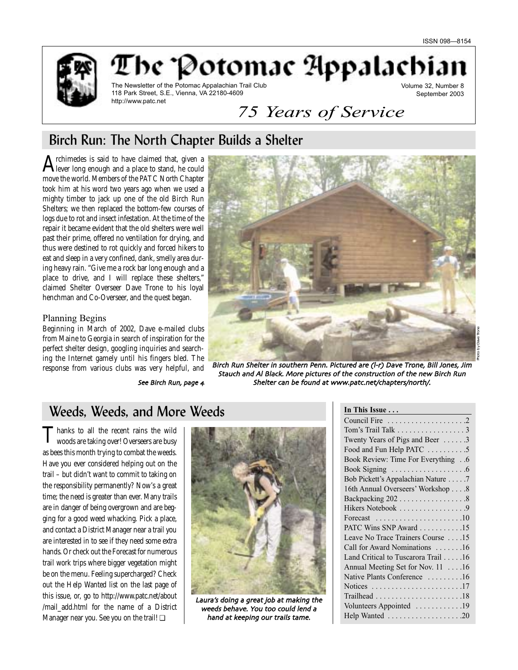

The 'Potomac Appalachi

The Newsletter of the Potomac Appalachian Trail Club 118 Park Street, S.E., Vienna, VA 22180-4609 http://www.patc.net

Volume 32, Number 8 September 2003

# *75 Years of Service*

## Birch Run: The North Chapter Builds a Shelter

A rchimedes is said to have claimed that, given a<br>Hever long enough and a place to stand, he could move the world. Members of the PATC North Chapter took him at his word two years ago when we used a mighty timber to jack up one of the old Birch Run Shelters; we then replaced the bottom-few courses of logs due to rot and insect infestation. At the time of the repair it became evident that the old shelters were well past their prime, offered no ventilation for drying, and thus were destined to rot quickly and forced hikers to eat and sleep in a very confined, dank, smelly area during heavy rain. "Give me a rock bar long enough and a place to drive, and I will replace these shelters," claimed Shelter Overseer Dave Trone to his loyal henchman and Co-Overseer, and the quest began.

### Planning Begins

Beginning in March of 2002, Dave e-mailed clubs from Maine to Georgia in search of inspiration for the perfect shelter design, googling inquiries and searching the Internet gamely until his fingers bled. The response from various clubs was very helpful, and

See Birch Run, page 4



Birch Run Shelter in southern Penn. Pictured are (I-r) Dave Trone, Bill Jones, Jim Stauch and Al Black More pictures of the construction of the new Birch Run Shelter can be found at www.patc.net/chapters/north/.

## Weeds, Weeds, and More Weeds

Thanks to all the recent rains the wild woods are taking over! Overseers are busy as bees this month trying to combat the weeds. Have you ever considered helping out on the trail – but didn't want to commit to taking on the responsibility permanently? Now's a great time; the need is greater than ever. Many trails are in danger of being overgrown and are begging for a good weed whacking. Pick a place, and contact a District Manager near a trail you are interested in to see if they need some extra hands. Or check out the Forecast for numerous trail work trips where bigger vegetation might be on the menu. Feeling supercharged? Check out the Help Wanted list on the last page of this issue, or, go to http://www.patc.net/about /mail\_add.html for the name of a District Manager near you. See you on the trail! ❏



Laura's doing a great job at making the weeds behave. You too could lend a hand at keeping our trails tame

| In This Issue                                                  |
|----------------------------------------------------------------|
|                                                                |
| Tom's Trail Talk 3                                             |
| Twenty Years of Pigs and Beer 3                                |
| Food and Fun Help PATC 5                                       |
| Book Review: Time For Everything6                              |
|                                                                |
| Bob Pickett's Appalachian Nature 7                             |
| 16th Annual Overseers' Workshop 8                              |
| Backpacking 202 8                                              |
| Hikers Notebook 9                                              |
| Forecast $\ldots \ldots \ldots \ldots \ldots \ldots \ldots 10$ |
| PATC Wins SNP Award 15                                         |
| Leave No Trace Trainers Course 15                              |
| Call for Award Nominations 16                                  |
| Land Critical to Tuscarora Trail 16                            |
| Annual Meeting Set for Nov. 11 16                              |
| Native Plants Conference 16                                    |
| Notices 17                                                     |
|                                                                |
| Volunteers Appointed 19                                        |
|                                                                |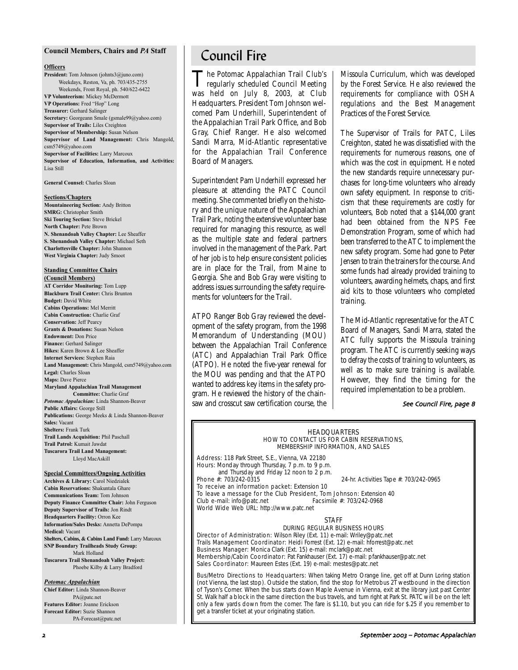#### **Council Members, Chairs and** *PA* **Staff**

#### **Officers**

**President:** Tom Johnson (johnts3@juno.com) Weekdays, Reston, Va, ph. 703/435-2755 Weekends, Front Royal, ph. 540/622-6422 **VP Volunteerism:** Mickey McDermott **VP Operations:** Fred "Hop" Long **Treasurer:** Gerhard Salinger **Secretary:** Georgeann Smale (gsmale99@yahoo.com) **Supervisor of Trails:** Liles Creighton **Supervisor of Membership:** Susan Nelson **Supervisor of Land Management:** Chris Mangold, csm5749@yahoo.com **Supervisor of Facilities:** Larry Marcoux **Supervisor of Education, Information, and Activities:** Lisa Still

**General Counsel:** Charles Sloan

#### **Sections/Chapters**

**Mountaineering Section:** Andy Britton **SMRG:** Christopher Smith **Ski Touring Section:** Steve Brickel **North Chapter:** Pete Brown **N. Shenandoah Valley Chapter:** Lee Sheaffer **S. Shenandoah Valley Chapter:** Michael Seth **Charlottesville Chapter:** John Shannon **West Virginia Chapter:** Judy Smoot

#### **Standing Committee Chairs**

**(Council Members) AT Corridor Monitoring:** Tom Lupp **Blackburn Trail Center:** Chris Brunton **Budget:** David White **Cabins Operations:** Mel Merritt **Cabin Construction:** Charlie Graf **Conservation:** Jeff Pearcy **Grants & Donations:** Susan Nelson **Endowment:** Don Price **Finance:** Gerhard Salinger **Hikes:** Karen Brown & Lee Sheaffer **Internet Services:** Stephen Raia **Land Management:** Chris Mangold, csm5749@yahoo.com **Legal:** Charles Sloan **Maps:** Dave Pierce **Maryland Appalachian Trail Management Committee:** Charlie Graf *Potomac Appalachian:* Linda Shannon-Beaver **Public Affairs:** George Still **Publications:** George Meeks & Linda Shannon-Beaver **Sales:** Vacant **Shelters:** Frank Turk **Trail Lands Acquisition:** Phil Paschall **Trail Patrol:** Kumait Jawdat **Tuscarora Trail Land Management:** Lloyd MacAskill

#### **Special Committees/Ongoing Activities**

**Archives & Library:** Carol Niedzialek **Cabin Reservations:** Shakuntala Ghare **Communications Team:** Tom Johnson **Deputy Finance Committee Chair:** John Ferguson **Deputy Supervisor of Trails:** Jon Rindt **Headquarters Facility:** Orron Kee **Information/Sales Desks:** Annetta DePompa **Medical:** Vacant **Shelters, Cabins, & Cabins Land Fund:** Larry Marcoux **SNP Boundary Trailheads Study Group:** Mark Holland **Tuscarora Trail Shenandoah Valley Project:** Phoebe Kilby & Larry Bradford

#### *Potomac Appalachian*

**Chief Editor:** Linda Shannon-Beaver PA@patc.net **Features Editor:** Joanne Erickson **Forecast Editor:** Suzie Shannon PA-Forecast@patc.net

## Council Fire

The Potomac Appalachian Trail Club's<br>regularly scheduled Council Meeting<br>man held on July 2003, at Club was held on July 8, 2003, at Club Headquarters. President Tom Johnson welcomed Pam Underhill, Superintendent of the Appalachian Trail Park Office, and Bob Gray, Chief Ranger. He also welcomed Sandi Marra, Mid-Atlantic representative for the Appalachian Trail Conference Board of Managers.

Superintendent Pam Underhill expressed her pleasure at attending the PATC Council meeting. She commented briefly on the history and the unique nature of the Appalachian Trail Park, noting the extensive volunteer base required for managing this resource, as well as the multiple state and federal partners involved in the management of the Park. Part of her job is to help ensure consistent policies are in place for the Trail, from Maine to Georgia. She and Bob Gray were visiting to address issues surrounding the safety requirements for volunteers for the Trail.

ATPO Ranger Bob Gray reviewed the development of the safety program, from the 1998 Memorandum of Understanding (MOU) between the Appalachian Trail Conference (ATC) and Appalachian Trail Park Office (ATPO). He noted the five-year renewal for the MOU was pending and that the ATPO wanted to address key items in the safety program. He reviewed the history of the chainsaw and crosscut saw certification course, the Missoula Curriculum, which was developed by the Forest Service. He also reviewed the requirements for compliance with OSHA regulations and the Best Management Practices of the Forest Service.

The Supervisor of Trails for PATC, Liles Creighton, stated he was dissatisfied with the requirements for numerous reasons, one of which was the cost in equipment. He noted the new standards require unnecessary purchases for long-time volunteers who already own safety equipment. In response to criticism that these requirements are costly for volunteers, Bob noted that a \$144,000 grant had been obtained from the NPS Fee Demonstration Program, some of which had been transferred to the ATC to implement the new safety program. Some had gone to Peter Jensen to train the trainers for the course. And some funds had already provided training to volunteers, awarding helmets, chaps, and first aid kits to those volunteers who completed training.

The Mid-Atlantic representative for the ATC Board of Managers, Sandi Marra, stated the ATC fully supports the Missoula training program. The ATC is currently seeking ways to defray the costs of training to volunteers, as well as to make sure training is available. However, they find the timing for the required implementation to be a problem.

#### See Council Fire, page 8

#### HEADQUARTERS HOW TO CONTACT US FOR CABIN RESERVATIONS, MEMBERSHIP INFORMATION, AND SALES

Address: 118 Park Street, S.E., Vienna, VA 22180 Hours: Monday through Thursday, 7 p.m. to 9 p.m. and Thursday and Friday 12 noon to 2 p.m.<br>Phone #: 703/242-0315

24-hr. Activities Tape #: 703/242-0965

To receive an information packet: Extension 10

To leave a message for the Club President, Tom Johnson: Extension 40<br>Club e-mail: info@patc.net Facsimile #: 703/242-0968 Club e-mail: info@patc.net

World Wide Web URL: http://www.patc.net

#### **STAFF**

DURING REGULAR BUSINESS HOURS Director of Administration: Wilson Riley (Ext. 11) e-mail: Wriley@patc.net

Trails Management Coordinator: Heidi Forrest (Ext. 12) e-mail: hforrest@patc.net Business Manager: Monica Clark (Ext. 15) e-mail: mclark@patc.net Membership/Cabin Coordinator: Pat Fankhauser (Ext. 17) e-mail: pfankhauser@patc.net Sales Coordinator: Maureen Estes (Ext. 19) e-mail: mestes@patc.net

Bus/Metro Directions to Headquarters: When taking Metro Orange line, get off at Dunn Loring station (not Vienna, the last stop). Outside the station, find the stop for Metrobus 2T westbound in the direction of Tyson's Corner. When the bus starts down Maple Avenue in Vienna, exit at the library just past Center St. Walk half a block in the same direction the bus travels, and turn right at Park St. PATC will be on the left only a few yards down from the corner. The fare is \$1.10, but you can ride for \$.25 if you remember to get a transfer ticket at your originating station.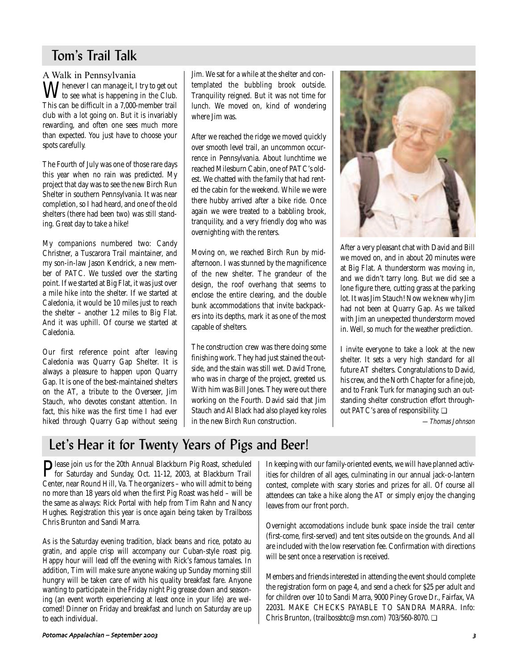## Tom's Trail Talk

AWalk in Pennsylvania  $\mathbf{M}$  henever I can manage it, I try to get out to see what is happening in the Club. This can be difficult in a 7,000-member trail club with a lot going on. But it is invariably rewarding, and often one sees much more than expected. You just have to choose your spots carefully.

The Fourth of July was one of those rare days this year when no rain was predicted. My project that day was to see the new Birch Run Shelter in southern Pennsylvania. It was near completion, so I had heard, and one of the old shelters (there had been two) was still standing. Great day to take a hike!

My companions numbered two: Candy Christner, a Tuscarora Trail maintainer, and my son-in-law Jason Kendrick, a new member of PATC. We tussled over the starting point. If we started at Big Flat, it was just over a mile hike into the shelter. If we started at Caledonia, it would be 10 miles just to reach the shelter – another 1.2 miles to Big Flat. And it was uphill. Of course we started at Caledonia.

Our first reference point after leaving Caledonia was Quarry Gap Shelter. It is always a pleasure to happen upon Quarry Gap. It is one of the best-maintained shelters on the AT, a tribute to the Overseer, Jim Stauch, who devotes constant attention. In fact, this hike was the first time I had ever hiked through Quarry Gap without seeing

Jim. We sat for a while at the shelter and contemplated the bubbling brook outside. Tranquility reigned. But it was not time for lunch. We moved on, kind of wondering where Jim was.

After we reached the ridge we moved quickly over smooth level trail, an uncommon occurrence in Pennsylvania. About lunchtime we reached Milesburn Cabin, one of PATC's oldest. We chatted with the family that had rented the cabin for the weekend. While we were there hubby arrived after a bike ride. Once again we were treated to a babbling brook, tranquility, and a very friendly dog who was overnighting with the renters.

Moving on, we reached Birch Run by midafternoon. I was stunned by the magnificence of the new shelter. The grandeur of the design, the roof overhang that seems to enclose the entire clearing, and the double bunk accommodations that invite backpackers into its depths, mark it as one of the most capable of shelters.

The construction crew was there doing some finishing work. They had just stained the outside, and the stain was still wet. David Trone, who was in charge of the project, greeted us. With him was Bill Jones. They were out there working on the Fourth. David said that Jim Stauch and Al Black had also played key roles in the new Birch Run construction.



After a very pleasant chat with David and Bill we moved on, and in about 20 minutes were at Big Flat. A thunderstorm was moving in, and we didn't tarry long. But we did see a lone figure there, cutting grass at the parking lot. It was Jim Stauch! Now we knew why Jim had not been at Quarry Gap. As we talked with Jim an unexpected thunderstorm moved in. Well, so much for the weather prediction.

I invite everyone to take a look at the new shelter. It sets a very high standard for all future AT shelters. Congratulations to David, his crew, and the North Chapter for a fine job, and to Frank Turk for managing such an outstanding shelter construction effort throughout PATC's area of responsibility. ❏

—Thomas Johnson

## Let's Hear it for Twenty Years of Pigs and Beer!

**P**lease join us for the 20th Annual Blackburn Pig Roast, scheduled<br>for Saturday and Sunday, Oct. 11-12, 2003, at Blackburn Trail<br>Starter area David Uill M. The constituent and activity height Center, near Round Hill, Va. The organizers – who will admit to being no more than 18 years old when the first Pig Roast was held – will be the same as always: Rick Portal with help from Tim Rahn and Nancy Hughes. Registration this year is once again being taken by Trailboss Chris Brunton and Sandi Marra.

As is the Saturday evening tradition, black beans and rice, potato au gratin, and apple crisp will accompany our Cuban-style roast pig. Happy hour will lead off the evening with Rick's famous tamales. In addition, Tim will make sure anyone waking up Sunday morning still hungry will be taken care of with his quality breakfast fare. Anyone wanting to participate in the Friday night Pig grease down and seasoning (an event worth experiencing at least once in your life) are welcomed! Dinner on Friday and breakfast and lunch on Saturday are up to each individual.

In keeping with our family-oriented events, we will have planned activities for children of all ages, culminating in our annual jack-o-lantern contest, complete with scary stories and prizes for all. Of course all attendees can take a hike along the AT or simply enjoy the changing leaves from our front porch.

Overnight accomodations include bunk space inside the trail center (first-come, first-served) and tent sites outside on the grounds. And all are included with the low reservation fee. Confirmation with directions will be sent once a reservation is received.

Members and friends interested in attending the event should complete the registration form on page 4, and send a check for \$25 per adult and for children over 10 to Sandi Marra, 9000 Piney Grove Dr., Fairfax, VA 22031. MAKE CHECKS PAYABLE TO SANDRA MARRA. Info: Chris Brunton, (trailbossbtc@msn.com) 703/560-8070. ❏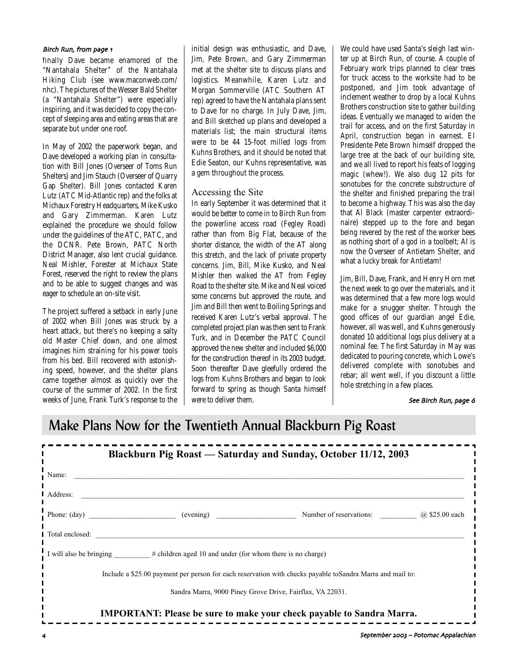### Birch Run, from page 1

finally Dave became enamored of the "Nantahala Shelter" of the Nantahala Hiking Club (see www.maconweb.com/ nhc). The pictures of the Wesser Bald Shelter (a "Nantahala Shelter") were especially inspiring, and it was decided to copy the concept of sleeping area and eating areas that are separate but under one roof.

In May of 2002 the paperwork began, and Dave developed a working plan in consultation with Bill Jones (Overseer of Toms Run Shelters) and Jim Stauch (Overseer of Quarry Gap Shelter). Bill Jones contacted Karen Lutz (ATC Mid-Atlantic rep) and the folks at Michaux Forestry Headquarters, Mike Kusko and Gary Zimmerman. Karen Lutz explained the procedure we should follow under the guidelines of the ATC, PATC, and the DCNR. Pete Brown, PATC North District Manager, also lent crucial guidance. Neal Mishler, Forester at Michaux State Forest, reserved the right to review the plans and to be able to suggest changes and was eager to schedule an on-site visit.

The project suffered a setback in early June of 2002 when Bill Jones was struck by a heart attack, but there's no keeping a salty old Master Chief down, and one almost imagines him straining for his power tools from his bed. Bill recovered with astonishing speed, however, and the shelter plans came together almost as quickly over the course of the summer of 2002. In the first weeks of June, Frank Turk's response to the

initial design was enthusiastic, and Dave, Jim, Pete Brown, and Gary Zimmerman met at the shelter site to discuss plans and logistics. Meanwhile, Karen Lutz and Morgan Sommerville (ATC Southern AT rep) agreed to have the Nantahala plans sent to Dave for no charge. In July Dave, Jim, and Bill sketched up plans and developed a materials list; the main structural items were to be 44 15-foot milled logs from Kuhns Brothers, and it should be noted that Edie Seaton, our Kuhns representative, was a gem throughout the process.

### Accessing the Site

In early September it was determined that it would be better to come in to Birch Run from the powerline access road (Fegley Road) rather than from Big Flat, because of the shorter distance, the width of the AT along this stretch, and the lack of private property concerns. Jim, Bill, Mike Kusko, and Neal Mishler then walked the AT from Fegley Road to the shelter site. Mike and Neal voiced some concerns but approved the route, and Jim and Bill then went to Boiling Springs and received Karen Lutz's verbal approval. The completed project plan was then sent to Frank Turk, and in December the PATC Council approved the new shelter and included \$6,000 for the construction thereof in its 2003 budget. Soon thereafter Dave gleefully ordered the logs from Kuhns Brothers and began to look forward to spring as though Santa himself were to deliver them.

We could have used Santa's sleigh last winter up at Birch Run, of course. A couple of February work trips planned to clear trees for truck access to the worksite had to be postponed, and Jim took advantage of inclement weather to drop by a local Kuhns Brothers construction site to gather building ideas. Eventually we managed to widen the trail for access, and on the first Saturday in April, construction began in earnest. El Presidente Pete Brown himself dropped the large tree at the back of our building site, and we all lived to report his feats of logging magic (whew!). We also dug 12 pits for sonotubes for the concrete substructure of the shelter and finished preparing the trail to become a highway. This was also the day that Al Black (master carpenter extraordinaire) stepped up to the fore and began being revered by the rest of the worker bees as nothing short of a god in a toolbelt; Al is now the Overseer of Antietam Shelter, and what a lucky break for Antietam!

Jim, Bill, Dave, Frank, and Henry Horn met the next week to go over the materials, and it was determined that a few more logs would make for a snugger shelter. Through the good offices of our guardian angel Edie, however, all was well, and Kuhns generously donated 10 additional logs plus delivery at a nominal fee. The first Saturday in May was dedicated to pouring concrete, which Lowe's delivered complete with sonotubes and rebar; all went well, if you discount a little hole stretching in a few places.

### See Birch Run, page 6

## Make Plans Now for the Twentieth Annual Blackburn Pig Roast

|                                                                                                            |                                 | Blackburn Pig Roast - Saturday and Sunday, October 11/12, 2003 |  |  |
|------------------------------------------------------------------------------------------------------------|---------------------------------|----------------------------------------------------------------|--|--|
| Name:                                                                                                      |                                 |                                                                |  |  |
| Address:                                                                                                   |                                 |                                                                |  |  |
|                                                                                                            | Phone: $(\text{day})$ (evening) | Number of reservations: (a) \$25.00 each                       |  |  |
| Total enclosed:                                                                                            |                                 |                                                                |  |  |
| I will also be bringing ________# children aged 10 and under (for whom there is no charge)                 |                                 |                                                                |  |  |
| Include a \$25.00 payment per person for each reservation with checks payable to Sandra Marra and mail to: |                                 |                                                                |  |  |
| Sandra Marra, 9000 Piney Grove Drive, Fairflax, VA 22031.                                                  |                                 |                                                                |  |  |
| <b>IMPORTANT:</b> Please be sure to make your check payable to Sandra Marra.                               |                                 |                                                                |  |  |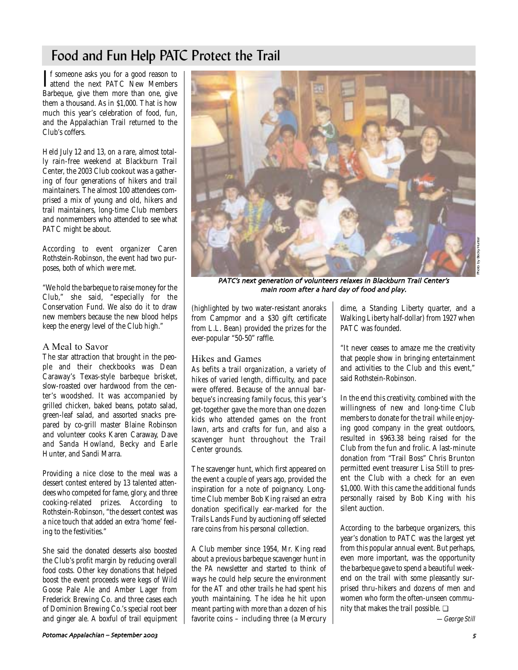## Food and Fun Help PATC Protect the Trail

If someone asks you for a good reason to<br>attend the next PATC New Members **T**f someone asks you for a good reason to Barbeque, give them more than one, give them a thousand. As in \$1,000. That is how much this year's celebration of food, fun, and the Appalachian Trail returned to the Club's coffers.

Held July 12 and 13, on a rare, almost totally rain-free weekend at Blackburn Trail Center, the 2003 Club cookout was a gathering of four generations of hikers and trail maintainers. The almost 100 attendees comprised a mix of young and old, hikers and trail maintainers, long-time Club members and nonmembers who attended to see what PATC might be about.

According to event organizer Caren Rothstein-Robinson, the event had two purposes, both of which were met.

"We hold the barbeque to raise money for the Club," she said, "especially for the Conservation Fund. We also do it to draw new members because the new blood helps keep the energy level of the Club high."

### AMeal to Savor

The star attraction that brought in the people and their checkbooks was Dean Caraway's Texas-style barbeque brisket, slow-roasted over hardwood from the center's woodshed. It was accompanied by grilled chicken, baked beans, potato salad, green-leaf salad, and assorted snacks prepared by co-grill master Blaine Robinson and volunteer cooks Karen Caraway, Dave and Sanda Howland, Becky and Earle Hunter, and Sandi Marra.

Providing a nice close to the meal was a dessert contest entered by 13 talented attendees who competed for fame, glory, and three cooking-related prizes. According to Rothstein-Robinson, "the dessert contest was a nice touch that added an extra 'home' feeling to the festivities."

She said the donated desserts also boosted the Club's profit margin by reducing overall food costs. Other key donations that helped boost the event proceeds were kegs of Wild Goose Pale Ale and Amber Lager from Frederick Brewing Co. and three cases each of Dominion Brewing Co.'s special root beer and ginger ale. A boxful of trail equipment



PATC's next generation of volunteers relaxes in Blackburn Trail Center's main room after a hard day of food and play

(highlighted by two water-resistant anoraks from Campmor and a \$30 gift certificate from L.L. Bean) provided the prizes for the ever-popular "50-50" raffle.

### Hikes and Games

As befits a trail organization, a variety of hikes of varied length, difficulty, and pace were offered. Because of the annual barbeque's increasing family focus, this year's get-together gave the more than one dozen kids who attended games on the front lawn, arts and crafts for fun, and also a scavenger hunt throughout the Trail Center grounds.

The scavenger hunt, which first appeared on the event a couple of years ago, provided the inspiration for a note of poignancy. Longtime Club member Bob King raised an extra donation specifically ear-marked for the Trails Lands Fund by auctioning off selected rare coins from his personal collection.

A Club member since 1954, Mr. King read about a previous barbeque scavenger hunt in the *PA* newsletter and started to think of ways he could help secure the environment for the AT and other trails he had spent his youth maintaining. The idea he hit upon meant parting with more than a dozen of his favorite coins – including three (a Mercury dime, a Standing Liberty quarter, and a Walking Liberty half-dollar) from 1927 when PATC was founded.

"It never ceases to amaze me the creativity that people show in bringing entertainment and activities to the Club and this event," said Rothstein-Robinson.

In the end this creativity, combined with the willingness of new and long-time Club members to donate for the trail while enjoying good company in the great outdoors, resulted in \$963.38 being raised for the Club from the fun and frolic. A last-minute donation from "Trail Boss" Chris Brunton permitted event treasurer Lisa Still to present the Club with a check for an even \$1,000. With this came the additional funds personally raised by Bob King with his silent auction.

According to the barbeque organizers, this year's donation to PATC was the largest yet from this popular annual event. But perhaps, even more important, was the opportunity the barbeque gave to spend a beautiful weekend on the trail with some pleasantly surprised thru-hikers and dozens of men and women who form the often-unseen community that makes the trail possible. ❏

—George Still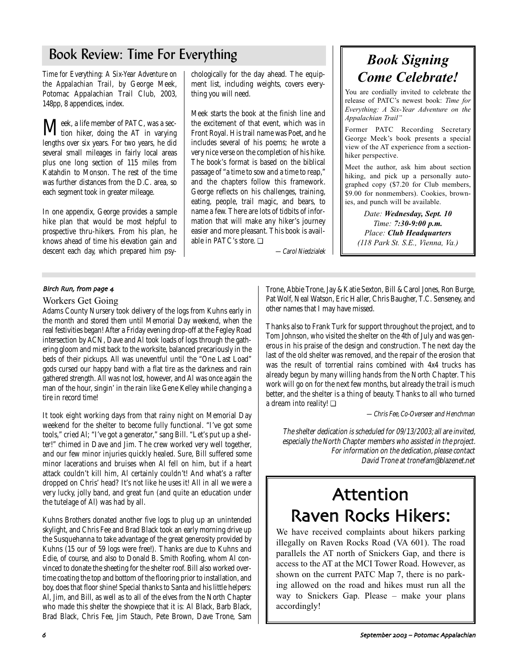## Book Review: Time For Everything

*Time for Everything: A Six-Year Adventure on the Appalachian Trail*, by George Meek, Potomac Appalachian Trail Club, 2003, 148pp, 8 appendices, index.

Meek, a life member of PATC, was a sec-tion hiker, doing the AT in varying lengths over six years. For two years, he did several small mileages in fairly local areas plus one long section of 115 miles from Katahdin to Monson. The rest of the time was further distances from the D.C. area, so each segment took in greater mileage.

In one appendix, George provides a sample hike plan that would be most helpful to prospective thru-hikers. From his plan, he knows ahead of time his elevation gain and descent each day, which prepared him psy-

chologically for the day ahead. The equipment list, including weights, covers everything you will need.

Meek starts the book at the finish line and the excitement of that event, which was in Front Royal. His trail name was Poet, and he includes several of his poems; he wrote a very nice verse on the completion of his hike. The book's format is based on the biblical passage of "a time to sow and a time to reap," and the chapters follow this framework. George reflects on his challenges, training, eating, people, trail magic, and bears, to name a few. There are lots of tidbits of information that will make any hiker's journey easier and more pleasant. This book is available in PATC's store. ❏

—Carol Niedzialek

# *Book Signing Come Celebrate!*

You are cordially invited to celebrate the release of PATC's newest book: *Time for Everything: A Six-Year Adventure on the Appalachian Trail"*

Former PATC Recording Secretary George Meek's book presents a special view of the AT experience from a sectionhiker perspective.

Meet the author, ask him about section hiking, and pick up a personally autographed copy (\$7.20 for Club members, \$9.00 for nonmembers). Cookies, brownies, and punch will be available.

> *Date: Wednesday, Sept. 10 Time: 7:30-9:00 p.m. Place: Club Headquarters (118 Park St. S.E., Vienna, Va.)*

### Birch Run, from page 4

#### Workers Get Going

Adams County Nursery took delivery of the logs from Kuhns early in the month and stored them until Memorial Day weekend, when the real festivities began! After a Friday evening drop-off at the Fegley Road intersection by ACN, Dave and Al took loads of logs through the gathering gloom and mist back to the worksite, balanced precariously in the beds of their pickups. All was uneventful until the "One Last Load" gods cursed our happy band with a flat tire as the darkness and rain gathered strength. All was not lost, however, and Al was once again the man of the hour, singin' in the rain like Gene Kelley while changing a tire in record time!

It took eight working days from that rainy night on Memorial Day weekend for the shelter to become fully functional. "I've got some tools," cried Al; "I've got a generator," sang Bill. "Let's put up a shelter!" chimed in Dave and Jim. The crew worked very well together, and our few minor injuries quickly healed. Sure, Bill suffered some minor lacerations and bruises when Al fell on him, but if a heart attack couldn't kill him, Al certainly couldn't! And what's a rafter dropped on Chris' head? It's not like he uses it! All in all we were a very lucky, jolly band, and great fun (and quite an education under the tutelage of Al) was had by all.

Kuhns Brothers donated another five logs to plug up an unintended skylight, and Chris Fee and Brad Black took an early morning drive up the Susquehanna to take advantage of the great generosity provided by Kuhns (15 our of 59 logs were free!). Thanks are due to Kuhns and Edie, of course, and also to Donald B. Smith Roofing, whom Al convinced to donate the sheeting for the shelter roof. Bill also worked overtime coating the top and bottom of the flooring prior to installation, and boy, does that floor shine! Special thanks to Santa and his little helpers: Al, Jim, and Bill, as well as to all of the elves from the North Chapter who made this shelter the showpiece that it is: Al Black, Barb Black, Brad Black, Chris Fee, Jim Stauch, Pete Brown, Dave Trone, Sam

Trone, Abbie Trone, Jay & Katie Sexton, Bill & Carol Jones, Ron Burge, Pat Wolf, Neal Watson, Eric Haller, Chris Baugher, T.C. Senseney, and other names that I may have missed.

Thanks also to Frank Turk for support throughout the project, and to Tom Johnson, who visited the shelter on the 4th of July and was generous in his praise of the design and construction. The next day the last of the old shelter was removed, and the repair of the erosion that was the result of torrential rains combined with 4x4 trucks has already begun by many willing hands from the North Chapter. This work will go on for the next few months, but already the trail is much better, and the shelter is a thing of beauty. Thanks to all who turned a dream into reality! ❏

—Chris Fee, Co-Overseer and Henchman

The shelter dedication is scheduled for 09/13/2003; all are invited, especially the North Chapter members who assisted in the project. For information on the dedication, please contact David Trone at tronefam@blazenet.net

# Attention Raven Rocks Hikers:

We have received complaints about hikers parking illegally on Raven Rocks Road (VA601). The road parallels the AT north of Snickers Gap, and there is access to the AT at the MCI Tower Road. However, as shown on the current PATC Map 7, there is no parking allowed on the road and hikes must run all the way to Snickers Gap. Please – make your plans accordingly!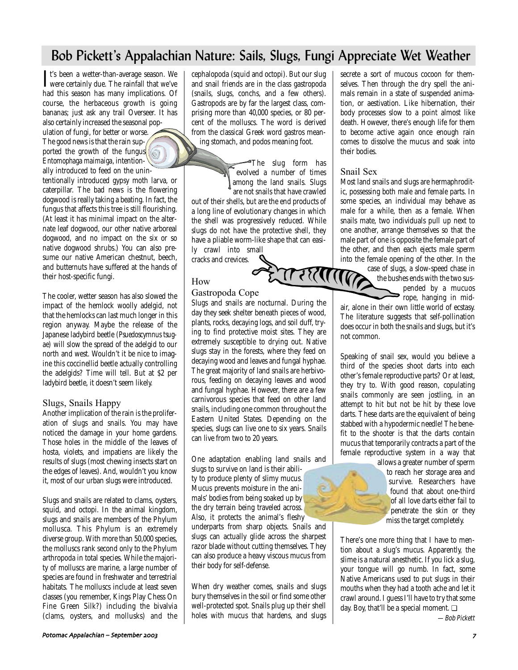## Bob Pickett's Appalachian Nature: Sails, Slugs, Fungi Appreciate Wet Weather

It's been a wetter-than-average season. We<br>were certainly due. The rainfall that we've  $\mathbf{T}$ t's been a wetter-than-average season. We had this season has many implications. Of course, the herbaceous growth is going bananas; just ask any trail Overseer. It has also certainly increased the seasonal pop-

ulation of fungi, for better or worse. The good news is that the rain sup- $\ell$ ported the growth of the fungus  $\sqrt{\frac{1}{2}}$ *Entomophaga maimaiga*, intentionally introduced to feed on the unin-

tentionally introduced gypsy moth larva, or caterpillar. The bad news is the flowering dogwood is really taking a beating. In fact, the fungus that affects this tree is still flourishing. (At least it has minimal impact on the alternate leaf dogwood, our other native arboreal dogwood, and no impact on the six or so native dogwood shrubs.) You can also presume our native American chestnut, beech, and butternuts have suffered at the hands of their host-specific fungi.

The cooler, wetter season has also slowed the impact of the hemlock woolly adelgid, not that the hemlocks can last much longer in this region anyway. Maybe the release of the Japanese ladybird beetle *(Psuedoscymnus tsugae)* will slow the spread of the adelgid to our north and west. Wouldn't it be nice to imagine this coccinellid beetle actually controlling the adelgids? Time will tell. But at \$2 per ladybird beetle, it doesn't seem likely.

### Slugs, Snails Happy

Another implication of the rain is the proliferation of slugs and snails. You may have noticed the damage in your home gardens. Those holes in the middle of the leaves of hosta, violets, and impatiens are likely the results of slugs (most chewing insects start on the edges of leaves). And, wouldn't you know it, most of our urban slugs were introduced.

Slugs and snails are related to clams, oysters, squid, and octopi. In the animal kingdom, slugs and snails are members of the Phylum mollusca. This Phylum is an extremely diverse group. With more than 50,000 species, the molluscs rank second only to the Phylum arthropoda in total species. While the majority of molluscs are marine, a large number of species are found in freshwater and terrestrial habitats. The molluscs include at least seven classes (you remember, Kings Play Chess On Fine Green Silk?) including the bivalvia (clams, oysters, and mollusks) and the

cephalopoda (squid and octopi). But our slug and snail friends are in the class gastropoda (snails, slugs, conchs, and a few others). Gastropods are by far the largest class, comprising more than 40,000 species, or 80 percent of the molluscs. The word is derived from the classical Greek word gastros meaning stomach, and podos meaning foot.

> The slug form has evolved a number of times among the land snails. Slugs are not snails that have crawled

out of their shells, but are the end products of a long line of evolutionary changes in which the shell was progressively reduced. While slugs do not have the protective shell, they have a pliable worm-like shape that can easily crawl into small

cracks and crevices.

## How

## Gastropoda Cope

Slugs and snails are nocturnal. During the day they seek shelter beneath pieces of wood, plants, rocks, decaying logs, and soil duff, trying to find protective moist sites. They are extremely susceptible to drying out. Native slugs stay in the forests, where they feed on decaying wood and leaves and fungal hyphae. The great majority of land snails are herbivorous, feeding on decaying leaves and wood and fungal hyphae. However, there are a few carnivorous species that feed on other land snails, including one common throughout the Eastern United States. Depending on the species, slugs can live one to six years. Snails can live from two to 20 years.

One adaptation enabling land snails and

slugs to survive on land is their ability to produce plenty of slimy mucus. Mucus prevents moisture in the animals' bodies from being soaked up by the dry terrain being traveled across. Also, it protects the animal's fleshy

underparts from sharp objects. Snails and slugs can actually glide across the sharpest razor blade without cutting themselves. They can also produce a heavy viscous mucus from their body for self-defense.

When dry weather comes, snails and slugs bury themselves in the soil or find some other well-protected spot. Snails plug up their shell holes with mucus that hardens, and slugs secrete a sort of mucous cocoon for themselves. Then through the dry spell the animals remain in a state of suspended animation, or aestivation. Like hibernation, their body processes slow to a point almost like death. However, there's enough life for them to become active again once enough rain comes to dissolve the mucus and soak into their bodies.

## Snail Sex

Most land snails and slugs are hermaphroditic, possessing both male and female parts. In some species, an individual may behave as male for a while, then as a female. When snails mate, two individuals pull up next to one another, arrange themselves so that the male part of one is opposite the female part of the other, and then each ejects male sperm

into the female opening of the other. In the case of slugs, a slow-speed chase in the bushes ends with the two suscase of slugs, a slow-speed chase in the bushes ends with the two suspended by a mucuos  $\Rightarrow$  rope, hanging in mid-

air, alone in their own little world of ecstasy. The literature suggests that self-pollination does occur in both the snails and slugs, but it's not common.

Speaking of snail sex, would you believe a third of the species shoot darts into each other's female reproductive parts? Or at least, they try to. With good reason, copulating snails commonly are seen jostling, in an attempt to hit but not be hit by these love darts. These darts are the equivalent of being stabbed with a hypodermic needle! The benefit to the shooter is that the darts contain mucus that temporarily contracts a part of the female reproductive system in a way that

allows a greater number of sperm to reach her storage area and survive. Researchers have found that about one-third of all love darts either fail to penetrate the skin or they miss the target completely.

There's one more thing that I have to mention about a slug's mucus. Apparently, the slime is a natural anesthetic. If you lick a slug, your tongue will go numb. In fact, some Native Americans used to put slugs in their mouths when they had a tooth ache and let it crawl around. I guess I'll have to try that some day. Boy, that'll be a special moment. ❏

—Bob Pickett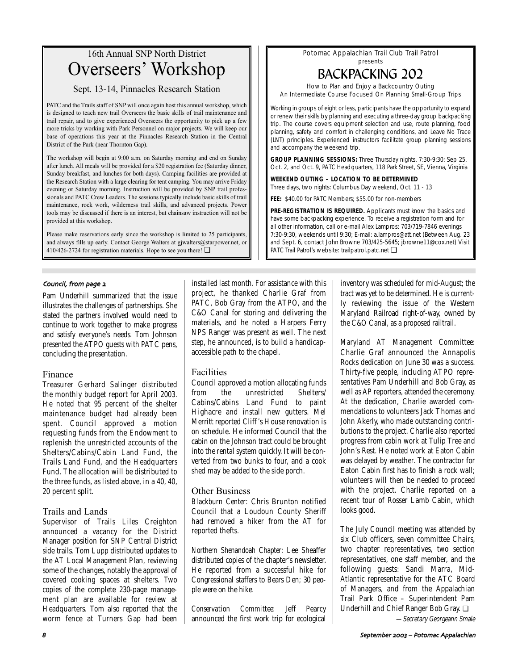## 16th Annual SNP North District Overseers' Workshop

Sept. 13-14, Pinnacles Research Station

PATC and the Trails staff of SNP will once again host this annual workshop, which is designed to teach new trail Overseers the basic skills of trail maintenance and trail repair, and to give experienced Overseers the opportunity to pick up a few more tricks by working with Park Personnel on major projects. We will keep our base of operations this year at the Pinnacles Research Station in the Central District of the Park (near Thornton Gap).

The workshop will begin at 9:00 a.m. on Saturday morning and end on Sunday after lunch. All meals will be provided for a \$20 registration fee (Saturday dinner, Sunday breakfast, and lunches for both days). Camping facilities are provided at the Research Station with a large clearing for tent camping. You may arrive Friday evening or Saturday morning. Instruction will be provided by SNP trail professionals and PATC Crew Leaders. The sessions typically include basic skills of trail maintenance, rock work, wilderness trail skills, and advanced projects. Power tools may be discussed if there is an interest, but chainsaw instruction will not be provided at this workshop.

Please make reservations early since the workshop is limited to 25 participants, and always fills up early. Contact George Walters at gjwalters@starpower.net, or 410/426-2724 for registration materials. Hope to see you there! ❏

### Council, from page 2

Pam Underhill summarized that the issue illustrates the challenges of partnerships. She stated the partners involved would need to continue to work together to make progress and satisfy everyone's needs. Tom Johnson presented the ATPO guests with PATC pens, concluding the presentation.

### Finance

Treasurer Gerhard Salinger distributed the monthly budget report for April 2003. He noted that 95 percent of the shelter maintenance budget had already been spent. Council approved a motion requesting funds from the Endowment to replenish the unrestricted accounts of the Shelters/Cabins/Cabin Land Fund, the Trails Land Fund, and the Headquarters Fund. The allocation will be distributed to the three funds, as listed above, in a 40, 40, 20 percent split.

## Trails and Lands

Supervisor of Trails Liles Creighton announced a vacancy for the District Manager position for SNP Central District side trails. Tom Lupp distributed updates to the AT Local Management Plan, reviewing some of the changes, notably the approval of covered cooking spaces at shelters. Two copies of the complete 230-page management plan are available for review at Headquarters. Tom also reported that the worm fence at Turners Gap had been installed last month. For assistance with this project, he thanked Charlie Graf from PATC, Bob Gray from the ATPO, and the C&O Canal for storing and delivering the materials, and he noted a Harpers Ferry NPS Ranger was present as well. The next step, he announced, is to build a handicapaccessible path to the chapel.

## Facilities

Council approved a motion allocating funds from the unrestricted Shelters/ Cabins/Cabins Land Fund to paint Highacre and install new gutters. Mel Merritt reported Cliff 's House renovation is on schedule. He informed Council that the cabin on the Johnson tract could be brought into the rental system quickly. It will be converted from two bunks to four, and a cook shed may be added to the side porch.

## Other Business

*Blackburn Center:* Chris Brunton notified Council that a Loudoun County Sheriff had removed a hiker from the AT for reported thefts.

*Northern Shenandoah Chapter:* Lee Sheaffer distributed copies of the chapter's newsletter. He reported from a successful hike for Congressional staffers to Bears Den; 30 people were on the hike.

*Conservation Committee:* Jeff Pearcy announced the first work trip for ecological

Potomac Appalachian Trail Club Trail Patrol presents

# BACKPACKING 202

How to Plan and Enjoy a Backcountry Outing An Intermediate Course Focused On Planning Small-Group Trips

Working in groups of eight or less, participants have the opportunity to expand or renew their skills by planning and executing a three-day group backpacking trip. The course covers equipment selection and use, route planning, food planning, safety and comfort in challenging conditions, and Leave No Trace (LNT) principles. Experienced instructors facilitate group planning sessions and accompany the weekend trip.

**GROUP PLANNING SESSIONS:** Three Thursday nights, 7:30-9:30: Sep 25, Oct. 2, and Oct. 9, PATC Headquarters, 118 Park Street, SE, Vienna, Virginia

**WEEKEND OUTING – LOCATION TO BE DETERMINED**

Three days, two nights: Columbus Day weekend, Oct. 11 - 13

**FEE:** \$40.00 for PATC Members; \$55.00 for non-members

**PRE-REGISTRATION IS REQUIRED.** Applicants must know the basics and have some backpacking experience. To receive a registration form and for all other information, call or e-mail Alex Lampros: 703/719-7846 evenings 7:30-9:30, weekends until 9:30; E-mail: a.lampros@att.net (Between Aug. 23 and Sept. 6, contact John Browne 703/425-5645; jbrowne11@cox.net) Visit PATC Trail Patrol's website: trailpatrol.patc.net **□** 

> inventory was scheduled for mid-August; the tract was yet to be determined. He is currently reviewing the issue of the Western Maryland Railroad right-of-way, owned by the C&O Canal, as a proposed railtrail.

> *Maryland AT Management Committee:* Charlie Graf announced the Annapolis Rocks dedication on June 30 was a success. Thirty-five people, including ATPO representatives Pam Underhill and Bob Gray, as well as AP reporters, attended the ceremony. At the dedication, Charlie awarded commendations to volunteers Jack Thomas and John Akerly, who made outstanding contributions to the project. Charlie also reported progress from cabin work at Tulip Tree and John's Rest. He noted work at Eaton Cabin was delayed by weather. The contractor for Eaton Cabin first has to finish a rock wall; volunteers will then be needed to proceed with the project. Charlie reported on a recent tour of Rosser Lamb Cabin, which looks good.

> The July Council meeting was attended by six Club officers, seven committee Chairs, two chapter representatives, two section representatives, one staff member, and the following guests: Sandi Marra, Mid-Atlantic representative for the ATC Board of Managers, and from the Appalachian Trail Park Office – Superintendent Pam Underhill and Chief Ranger Bob Gray. ❏

—Secretary Georgeann Smale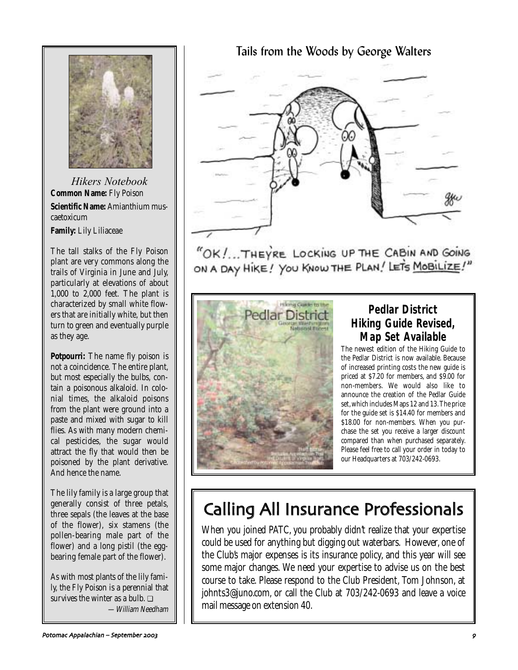

*Hikers Notebook* **Common Name:** Fly Poison **Scientific Name:** Amianthium muscaetoxicum **Family:** Lily Liliaceae

The tall stalks of the Fly Poison plant are very commons along the trails of Virginia in June and July, particularly at elevations of about 1,000 to 2,000 feet. The plant is characterized by small white flowers that are initially white, but then turn to green and eventually purple as they age.

**Potpourri:** The name fly poison is not a coincidence. The entire plant, but most especially the bulbs, contain a poisonous alkaloid. In colonial times, the alkaloid poisons from the plant were ground into a paste and mixed with sugar to kill flies. As with many modern chemical pesticides, the sugar would attract the fly that would then be poisoned by the plant derivative. And hence the name.

The lily family is a large group that generally consist of three petals, three sepals (the leaves at the base of the flower), six stamens (the pollen-bearing male part of the flower) and a long pistil (the eggbearing female part of the flower).

As with most plants of the lily family, the Fly Poison is a perennial that survives the winter as a bulb. ❏ —William Needham Tails from the Woods by George Walters

"OK !... THEYRE LOCKING UP THE CABIN AND GOING ON A DAY HIKE! YOU KNOW THE PLAN! LET'S MOBILIZE!"



## **Pedlar District Hiking Guide Revised, Map Set Available**

The newest edition of the Hiking Guide to the Pedlar District is now available. Because of increased printing costs the new guide is priced at \$7.20 for members, and \$9.00 for non-members. We would also like to announce the creation of the Pedlar Guide set, which includes Maps 12 and 13. The price for the guide set is \$14.40 for members and \$18.00 for non-members. When you purchase the set you receive a larger discount compared than when purchased separately. Please feel free to call your order in today to our Headquarters at 703/242-0693.

# Calling All Insurance Professionals

When you joined PATC, you probably didn't realize that your expertise could be used for anything but digging out waterbars. However, one of the Club's major expenses is its insurance policy, and this year will see some major changes. We need your expertise to advise us on the best course to take. Please respond to the Club President, Tom Johnson, at johnts3@juno.com, or call the Club at 703/242-0693 and leave a voice mail message on extension 40.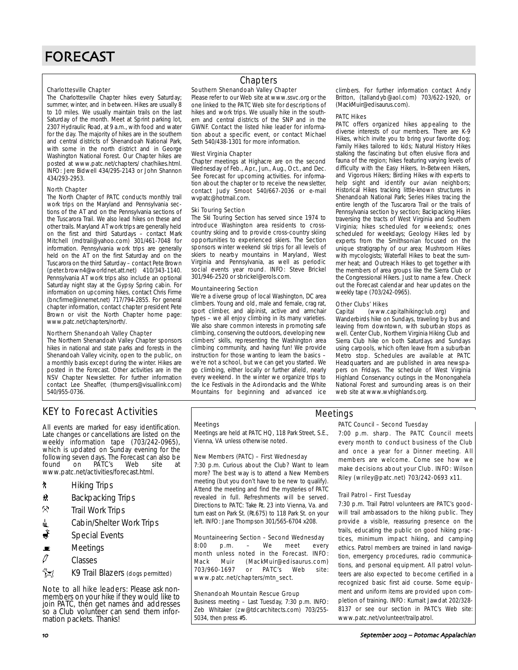#### Charlottesville Chapter

The Charlottesville Chapter hikes every Saturday; summer, winter, and in between. Hikes are usually 8 to 10 miles. We usually maintain trails on the last Saturday of the month. Meet at Sprint parking lot, 2307 Hydraulic Road, at 9 a.m., with food and water for the day. The majority of hikes are in the southern and central districts of Shenandoah National Park, with some in the north district and in George Washington National Forest. Our Chapter hikes are posted at www.patc.net/chapters/ char/hikes.html. INFO: Jere Bidwell 434/295-2143 or John Shannon 434/293-2953.

#### North Chapter

The North Chapter of PATC conducts monthly trail work trips on the Maryland and Pennsylvania sections of the AT and on the Pennsylvania sections of the Tuscarora Trail. We also lead hikes on these and other trails. Maryland AT work trips are generally held on the first and third Saturdays – contact Mark Mitchell (mdtrail@yahoo.com) 301/461-7048 for information. Pennsylvania work trips are generally held on the AT on the first Saturday and on the Tuscarora on the third Saturday – contact Pete Brown (peter.brown4@worldnet.att.net) 410/343-1140. Pennsylvania AT work trips also include an optional Saturday night stay at the Gypsy Spring cabin. For information on upcoming hikes, contact Chris Firme (bncfirme@innernet.net) 717/794-2855. For general chapter information, contact chapter president Pete Brown or visit the North Chapter home page: www.patc.net/chapters/north/.

#### Northern Shenandoah Valley Chapter

The Northern Shenandoah Valley Chapter sponsors hikes in national and state parks and forests in the Shenandoah Valley vicinity, open to the public, on a monthly basis except during the winter. Hikes are posted in the Forecast. Other activities are in the NSV Chapter Newsletter. For further information contact Lee Sheaffer, (thumpers@visuallink.com) 540/955-0736.

### **Chapters**

### Southern Shenandoah Valley Chapter

Please refer to our Web site at www.ssvc.org or the one linked to the PATC Web site for descriptions of hikes and work trips. We usually hike in the southern and central districts of the SNP and in the GWNF. Contact the listed hike leader for information about a specific event, or contact Michael Seth 540/438-1301 for more information.

#### West Virginia Chapter

Chapter meetings at Highacre are on the second Wednesday of Feb., Apr., Jun., Aug., Oct., and Dec. See Forecast for upcoming activities. For information about the chapter or to receive the newsletter, contact Judy Smoot 540/667-2036 or e-mail wvpatc@hotmail.com.

#### Ski Touring Section

The Ski Touring Section has served since 1974 to introduce Washington area residents to crosscountry skiing and to provide cross-country skiing opportunities to experienced skiers. The Section sponsors winter weekend ski trips for all levels of skiers to nearby mountains in Maryland, West Virginia and Pennsylvania, as well as periodic social events year round. INFO: Steve Brickel 301/946-2520 or sbrickel@erols.com.

#### Mountaineering Section

We're a diverse group of local Washington, DC area climbers. Young and old, male and female, crag rat, sport climber, and alpinist, active and armchair types – we all enjoy climbing in its many varieties. We also share common interests in promoting safe climbing, conserving the outdoors, developing new climbers' skills, representing the Washington area climbing community, and having fun! We provide instruction for those wanting to learn the basics – we're not a school, but we can get you started. We go climbing, either locally or further afield, nearly every weekend. In the winter we organize trips to the Ice Festivals in the Adirondacks and the White Mountains for beginning and advanced ice

climbers. For further information contact Andy Britton, (tallandyb@aol.com) 703/622-1920, or (MackMuir@edisaurus.com).

#### PATC Hikes

PATC offers organized hikes appealing to the diverse interests of our members. There are K-9 Hikes, which invite you to bring your favorite dog; Family Hikes tailored to kids; Natural History Hikes stalking the fascinating but often elusive flora and fauna of the region; hikes featuring varying levels of difficulty with the Easy Hikers, In-Between Hikers, and Vigorous Hikers; Birding Hikes with experts to help sight and identify our avian neighbors; Historical Hikes tracking little-known structures in Shenandoah National Park; Series Hikes tracing the entire length of the Tuscarora Trail or the trails of Pennsylvania section by section; Backpacking Hikes traversing the tracts of West Virginia and Southern Virginia; hikes scheduled for weekends; ones scheduled for weekdays; Geology Hikes led by experts from the Smithsonian focused on the unique stratigraphy of our area; Mushroom Hikes with mycologists; Waterfall Hikes to beat the summer heat; and Outreach Hikes to get together with the members of area groups like the Sierra Club or the Congressional Hikers. Just to name a few. Check out the Forecast calendar and hear updates on the weekly tape (703/242-0965).

#### Other Clubs' Hikes

Capital (www.capitalhikingclub.org) and Wanderbirds hike on Sundays, traveling by bus and leaving from downtown, with suburban stops as well. Center Club, Northern Virginia Hiking Club and Sierra Club hike on both Saturdays and Sundays using carpools, which often leave from a suburban Metro stop. Schedules are available at PATC Headquarters and are published in area newspapers on Fridays. The schedule of West Virginia Highland Conservancy outings in the Monongahela National Forest and surrounding areas is on their web site at www.wvhighlands.org.

## KEY to Forecast Activities

All events are marked for easy identification. Late changes or cancellations are listed on the weekly information tape (703/242-0965), which is updated on Sunday evening for the following seven days. The Forecast can also be<br>found on PATC's Web site at PATC's www.patc.net/activities/forecast.html.

- **\*** Hiking Trips
- **\*** Backpacking Trips
- $\mathcal{R}$  Trail Work Trips
- **i** Cabin/Shelter Work Trips
- Special Events
- $\blacksquare$  Meetings
- $\vartheta$  Classes
- **EX** K9 Trail Blazers (dogs permitted)

Note to all hike leaders: Please ask nonmembers on your hike if they would like to join PATC, then get names and addresses so a Club volunteer can send them information packets. Thanks!

#### Meetings

Meetings are held at PATC HQ, 118 Park Street, S.E., Vienna, VA unless otherwise noted.

#### New Members (PATC) – First Wednesday

7:30 p.m. Curious about the Club? Want to learn more? The best way is to attend a New Members meeting (but you don't have to be new to qualify). Attend the meeting and find the mysteries of PATC revealed in full. Refreshments will be served. Directions to PATC: Take Rt. 23 into Vienna, Va. and turn east on Park St. (Rt.675) to 118 Park St. on your left. INFO: Jane Thompson 301/565-6704 x208.

#### Mountaineering Section – Second Wednesday

8:00 p.m. – We meet every month unless noted in the Forecast. INFO:<br>Mack Muir (MackMuir@edisaurus.com) Mack Muir (MackMuir@edisaurus.com) 703/960-1697 or PATC's Web site: www.patc.net/chapters/mtn\_sect.

#### Shenandoah Mountain Rescue Group

Business meeting – Last Tuesday, 7:30 p.m. INFO: Zeb Whitaker (zw@tdcarchitects.com) 703/255- 5034, then press #5.

### Meetings

#### PATC Council – Second Tuesday

7:00 p.m. sharp. The PATC Council meets every month to conduct business of the Club and once a year for a Dinner meeting. All members are welcome. Come see how we make decisions about your Club. INFO: Wilson Riley (wriley@patc.net) 703/242-0693 x11.

#### Trail Patrol – First Tuesday

7:30 p.m. Trail Patrol volunteers are PATC's goodwill trail ambassadors to the hiking public. They provide a visible, reassuring presence on the trails, educating the public on good hiking practices, minimum impact hiking, and camping ethics. Patrol members are trained in land navigation, emergency procedures, radio communications, and personal equipment. All patrol volunteers are also expected to become certified in a recognized basic first aid course. Some equipment and uniform items are provided upon completion of training. INFO: Kumait Jawdat 202/328- 8137 or see our section in PATC's Web site: www.patc.net/volunteer/trailpatrol.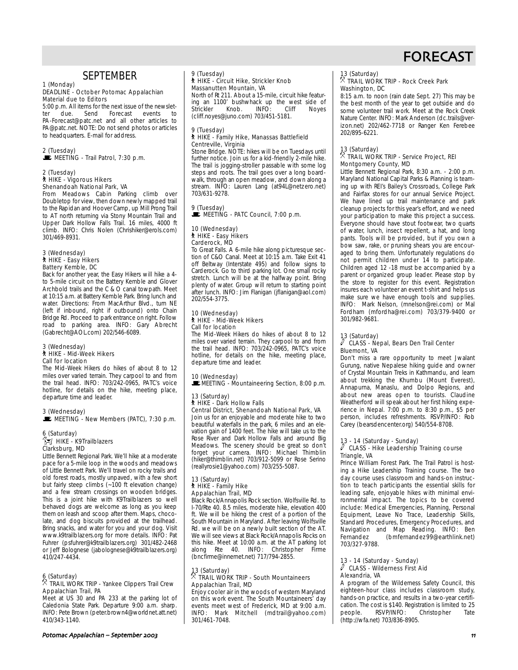

## **SEPTEMBER**

#### 1 (Monday) DEADLINE - October Potomac Appalachian Material due to Editors

5:00 p.m. All items for the next issue of the newsletter due. Send Forecast events to PA-Forecast@patc.net and all other articles to PA@patc.net. NOTE: Do not send photos or articles to headquarters. E-mail for address.

#### 2 (Tuesday)  $\mathbf{\dot{E}}$  MEETING - Trail Patrol, 7:30 p.m.

#### 2 (Tuesday) ` HIKE - Vigorous Hikers Shenandoah National Park, VA

From Meadows Cabin Parking climb over Doubletop for view, then down newly mapped trail to the Rapidan and Hoover Camp, up Mill Prong Trail to AT north returning via Stony Mountain Trail and Upper Dark Hollow Falls Trail. 16 miles, 4000 ft climb. INFO: Chris Nolen (Chrishiker@erols.com) 301/469-8931.

#### 3 (Wednesday) ` HIKE - Easy Hikers Battery Kemble, DC

Back for another year, the Easy Hikers will hike a 4 to 5-mile circuit on the Battery Kemble and Glover Archbold trails and the C & O canal towpath. Meet at 10:15 a.m. at Battery Kemble Park. Bring lunch and water. Directions: From MacArthur Blvd., turn NE (left if inbound, right if outbound) onto Chain Bridge Rd. Proceed to park entrance on right. Follow road to parking area. INFO: Gary Abrecht (Gabrecht@AOL.com) 202/546-6089.

#### 3 (Wednesday) ` HIKE - Mid-Week Hikers Call for location

The Mid-Week Hikers do hikes of about 8 to 12 miles over varied terrain. They carpool to and from the trail head. INFO: 703/242-0965, PATC's voice hotline, for details on the hike, meeting place, departure time and leader.

## 3 (Wednesday)  $\mathbf{\dot{E}}$  MEETING - New Members (PATC), 7:30 p.m.

#### 6 (Saturday)  $\int_{\mathbb{R}}^{\mathbb{R}}$  HIKE - K9Trailblazers Clarksburg, MD

Little Bennett Regional Park. We'll hike at a moderate pace for a 5-mile loop in the woods and meadows of Little Bennett Park. We'll travel on rocky trails and old forest roads, mostly unpaved, with a few short but fairly steep climbs (~100 ft elevation change) and a few stream crossings on wooden bridges. This is a joint hike with K9Trailblazers so well behaved dogs are welcome as long as you keep them on leash and scoop after them. Maps, chocolate, and dog biscuits provided at the trailhead. Bring snacks, and water for you and your dog. Visit www.k9trailblazers.org for more details. INFO: Pat Fuhrer (psfuhrer@k9trailblazers.org) 301/482-2468 or Jeff Bolognese (jabolognese@k9trailblazers.org) 410/247-4434.

## 6 (Saturday) . TRAIL WORK TRIP - Yankee Clippers Trail Crew Appalachian Trail, PA

Meet at US 30 and PA 233 at the parking lot of Caledonia State Park. Departure 9:00 a.m. sharp. INFO: Pete Brown (peter.brown4@worldnet.att.net) 410/343-1140.

### 9 (Tuesday) ` HIKE - Circuit Hike, Strickler Knob Massanutten Mountain, VA

North of Rt 211. About a 15-mile, circuit hike featuring an 1100' bushwhack up the west side of<br>Strickler Knob. INFO: Cliff Noyes Strickler Knob. INFO: Cliff Noyes (cliff.noyes@juno.com) 703/451-5181.

#### 9 (Tuesday) \* (1988-1),<br>剂 HIKE - Family Hike, Manassas Battlefield Centreville, Virginia

Stone Bridge. NOTE: hikes will be on Tuesdays until further notice. Join us for a kid-friendly 2-mile hike. The trail is jogging-stroller passable with some log steps and roots. The trail goes over a long boardwalk, through an open meadow, and down along a stream. INFO: Lauren Lang (at94L@netzero.net) 703/631-9278.

## 9 (Tuesday)  $\mathbf{\dot{E}}$  MEETING - PATC Council, 7:00 p.m.

#### 10 (Wednesday) ` HIKE - Easy Hikers Carderock, MD

To Great Falls. A 6-mile hike along picturesque section of C&O Canal. Meet at 10:15 a.m. Take Exit 41 off Beltway (Interstate 495) and follow signs to Carderock. Go to third parking lot. One small rocky stretch. Lunch will be at the halfway point. Bring plenty of water. Group will return to starting point after lunch. INFO: Jim Flanigan (jflanigan@aol.com) 202/554-3775.

#### 10 (Wednesday) ` HIKE - Mid-Week Hikers Call for location

The Mid-Week Hikers do hikes of about 8 to 12 miles over varied terrain. They carpool to and from the trail head. INFO: 703/242-0965, PATC's voice hotline, for details on the hike, meeting place, departure time and leader.

### 10 (Wednesday)

**MEETING - Mountaineering Section, 8:00 p.m.** 

#### 13 (Saturday) ` HIKE - Dark Hollow Falls Central District, Shenandoah National Park, VA

Join us for an enjoyable and moderate hike to two beautiful waterfalls in the park, 6 miles and an elevation gain of 1400 feet. The hike will take us to the Rose River and Dark Hollow Falls and around Big Meadows. The scenery should be great so don't forget your camera. INFO: Michael Thimblin (hiker@thimblin.net) 703/912-5099 or Rose Serino (reallyrosie1@yahoo.com) 703/255-5087.

#### 13 (Saturday) ` HIKE - Family Hike Appalachian Trail, MD

Black Rock/Annapolis Rock section. Wolfsville Rd. to I-70/Rte 40. 8.5 miles, moderate hike, elevation 400 ft. We will be hiking the crest of a portion of the South Mountain in Maryland. After leaving Wolfsville Rd. we will be on a newly built section of the AT. We will see views at Black Rock/Annapolis Rocks on this hike. Meet at 10:00 a.m. at the AT parking lot along Rte 40. INFO: Christopher Firme (bncfirme@innernet.net) 717/794-2855.

## 13 (Saturday) . TRAIL WORK TRIP - South Mountaineers Appalachian Trail, MD

Enjoy cooler air in the woods of western Maryland on this work event. The South Mountaineers' day events meet west of Frederick, MD at 9:00 a.m. INFO: Mark Mitchell (mdtrail@yahoo.com) 301/461-7048.

### 13 (Saturday)

#### . TRAIL WORK TRIP - Rock Creek Park Washington, DC

8:15 a.m. to noon (rain date Sept. 27) This may be the best month of the year to get outside and do some volunteer trail work. Meet at the Rock Creek Nature Center. INFO: Mark Anderson (dc.trails@verizon.net) 202/462-7718 or Ranger Ken Ferebee 202/895-6221.

#### 13 (Saturday)  $\%$  TRAIL WORK TRIP - Service Project, REI Montgomery County, MD

Little Bennett Regional Park, 8:30 a.m. - 2:00 p.m. Maryland National Capital Parks & Planning is teaming up with REI's Bailey's Crossroads, College Park and Fairfax stores for our annual Service Project. We have lined up trail maintenance and park cleanup projects for this year's effort, and we need your participation to make this project a success. Everyone should have stout footwear, two quarts of water, lunch, insect repellent, a hat, and long pants. Tools will be provided, but if you own a bow saw, rake, or pruning shears you are encouraged to bring them. Unfortunately regulations do not permit children under 14 to participate. Children aged 12 -18 must be accompanied by a parent or organized group leader. Please stop by the store to register for this event. Registration insures each volunteer an event t-shirt and helps us make sure we have enough tools and supplies. INFO: Mark Nelson, (mnelson@rei.com) or Mal Fordham (mfordha@rei.com) 703/379-9400 or 301/982-9681.

#### 13 (Saturday)

#### $\mathbb O$  CLASS - Nepal, Bears Den Trail Center Bluemont, VA

Don't miss a rare opportunity to meet Jwalant Gurung, native Nepalese hiking guide and owner of Crystal Mountain Treks in Kathmandu, and learn about trekking the Khumbu (Mount Everest), Annapurna, Manaslu, and Dolpo Regions, and about new areas open to tourists. Claudine Weatherford will speak about her first hiking experience in Nepal.  $7:00$  p.m. to 8:30 p.m., \$5 per person, includes refreshments. RSVP/INFO: Rob Carey (bearsdencenter.org) 540/554-8708.

### 13 - 14 (Saturday - Sunday)

#### $\ell$  CLASS - Hike Leadership Training course Triangle, VA

Prince William Forest Park. The Trail Patrol is hosting a Hike Leadership Training course. The two day course uses classroom and hands-on instruction to teach participants the essential skills for leading safe, enjoyable hikes with minimal environmental impact. The topics to be covered include: Medical Emergencies, Planning, Personal Equipment, Leave No Trace, Leadership Skills, Standard Procedures, Emergency Procedures, and Navigation and Map Reading. INFO: Ben (bmfernandez99@earthlink.net) 703/327-9788.

#### 13 - 14 (Saturday - Sunday)  $\mathscr O$  CLASS - Wilderness First Aid Alexandria, VA

A program of the Wilderness Safety Council, this eighteen-hour class includes classroom study, hands-on practice, and results in a two-year certification. The cost is \$140. Registration is limited to 25<br>people. RSVP/INFO: Christopher Tate Christopher (http://wfa.net) 703/836-8905.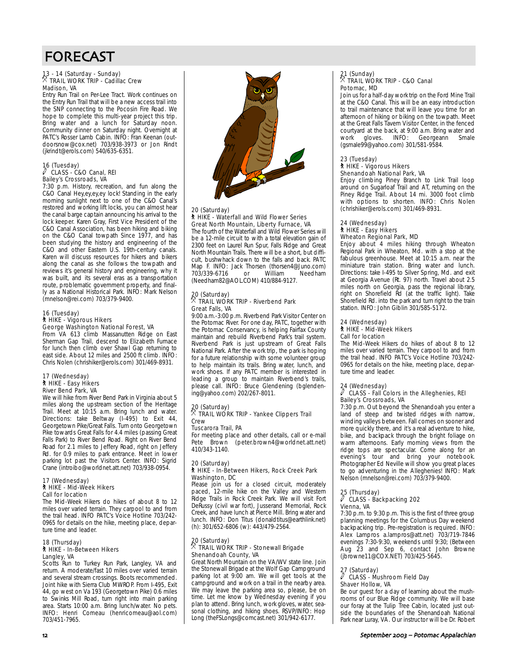## FORECAST

## 13 - 14 (Saturday - Sunday) . TRAIL WORK TRIP - Cadillac Crew Madison, VA

Entry Run Trail on Per-Lee Tract. Work continues on the Entry Run Trail that will be a new access trail into the SNP connecting to the Pocosin Fire Road. We hope to complete this multi-year project this trip. Bring water and a lunch for Saturday noon. Community dinner on Saturday night. Overnight at PATC's Rosser Lamb Cabin. INFO: Fran Keenan (outdoorsnow@cox.net) 703/938-3973 or Jon Rindt (jkrindt@erols.com) 540/635-6351.

#### 16 (Tuesday)  $\ell$  CLASS - C&O Canal, REI Bailey's Crossroads, VA

7:30 p.m. History, recreation, and fun along the C&O Canal Hey,ey,ey,ey lock! Standing in the early morning sunlight next to one of the C&O Canal's restored and working lift locks, you can almost hear the canal barge captain announcing his arrival to the lock keeper. Karen Gray, First Vice President of the C&O Canal Association, has been hiking and biking on the C&O Canal towpath Since 1977, and has been studying the history and engineering of the C&O and other Eastern U.S. 19th-century canals. Karen will discuss resources for hikers and bikers along the canal as she follows the towpath and reviews it's general history and engineering, why it was built, and its several eras as a transportation route, problematic government property, and finally as a National Historical Park. INFO: Mark Nelson (mnelson@rei.com) 703/379-9400.

#### 16 (Tuesday) ` HIKE - Vigorous Hikers George Washington National Forest, VA

From VA 613 climb Massanutten Ridge on East Sherman Gap Trail, descend to Elizabeth Furnace for lunch then climb over Shawl Gap returning to east side. About 12 miles and 2500 ft climb. INFO: Chris Nolen (chrishiker@erols.com) 301/469-8931.

#### 17 (Wednesday) ` HIKE - Easy Hikers River Bend Park, VA

We will hike from River Bend Park in Virginia about 5 miles along the upstream section of the Heritage Trail. Meet at 10:15 a.m. Bring lunch and water. Directions: take Beltway (I-495) to Exit 44, Georgetown Pike/Great Falls. Turn onto Georgetown Pike towards Great Falls for 4.4 miles (passing Great Falls Park) to River Bend Road. Right on River Bend Road for 2.1 miles to Jeffery Road, right on Jeffery Rd. for 0.9 miles to park entrance. Meet in lower parking lot past the Visitors Center. INFO: Sigrid Crane (introibo@worldnet.att.net) 703/938-0954.

#### 17 (Wednesday) ` HIKE - Mid-Week Hikers Call for location

The Mid-Week Hikers do hikes of about 8 to 12 miles over varied terrain. They carpool to and from the trail head. INFO PATC's Voice Hotline 703/242- 0965 for details on the hike, meeting place, departure time and leader.

#### 18 (Thursday) ` HIKE - In-Between Hikers Langley, VA

Scotts Run to Turkey Run Park, Langley, VA and return. A moderate/fast 10 miles over varied terrain and several stream crossings. Boots recommended. Joint hike with Sierra Club MWROP. From I-495, Exit 44, go west on Va 193 (Georgetown Pike) 0.6 miles to Swinks Mill Road, turn right into main parking area. Starts 10:00 a.m. Bring lunch/water. No pets. INFO: Henri Comeau (henricomeau@aol.com) 703/451-7965.



#### 20 (Saturday)

#### ` HIKE - Waterfall and Wild Flower Series Great North Mountain, Liberty Furnace, VA

The fourth of the Waterfall and Wild Flower Series will be a 12-mile circuit to with a total elevation gain of 2300 feet on Laurel Run Spur, Falls Ridge and Great North Mountain Trails. There will be a short, but difficult, bushwhack down to the falls and back. PATC Map F. INFO: Jack Thorsen (thorsen4@Juno.com)<br>703/339-6716 or William Needham 703/339-6716 or William Needham (Needham82@AOL.COM) 410/884-9127.

## 20 (Saturday) . TRAIL WORK TRIP - Riverbend Park Great Falls, VA

9:00 a.m.-3:00 p.m. Riverbend Park Visitor Center on the Potomac River. For one day, PATC, together with the Potomac Conservancy, is helping Fairfax County maintain and rebuild Riverbend Park's trail system. Riverbend Park is just upstream of Great Falls National Park. After the work trip, the park is hoping for a future relationship with some volunteer group to help maintain its trails. Bring water, lunch, and work shoes. If any PATC member is interested in leading a group to maintain Riverbend's trails, please call. INFO: Bruce Glendening (bglendening@yahoo.com) 202/267-8011.

### 20 (Saturday) . TRAIL WORK TRIP - Yankee Clippers Trail Crew

### Tuscarora Trail, PA

For meeting place and other details, call or e-mail Pete Brown (peter.brown4@worldnet.att.net) 410/343-1140.

#### 20 (Saturday) ` HIKE - In-Between Hikers, Rock Creek Park Washington, DC

Please join us for a closed circuit, moderately paced, 12-mile hike on the Valley and Western Ridge Trails in Rock Creek Park. We will visit Fort DeRussy (civil war fort), Jusserand Memorial, Rock Creek, and have lunch at Pierce Mill. Bring water and lunch. INFO: Don Titus (donaldtitus@earthlink.net) (h): 301/652-6806 (w): 443/479-2564.

## 20 (Saturday) . TRAIL WORK TRIP - Stonewall Brigade Shenandoah County, VA

Great North Mountain on the VA/WV state line. Join the Stonewall Brigade at the Wolf Gap Campground parking lot at 9:00 am. We will get tools at the campground and work on a trail in the nearby area. We may leave the parking area so, please, be on time. Let me know by Wednesday evening if you plan to attend. Bring lunch, work gloves, water, seasonal clothing, and hiking shoes. RSVP/INFO: Hop Long (theFSLongs@comcast.net) 301/942-6177.

## 21 (Sunday) . TRAIL WORK TRIP - C&O Canal Potomac, MD

Join us for a half-day work trip on the Ford Mine Trail at the C&O Canal. This will be an easy introduction to trail maintenance that will leave you time for an afternoon of hiking or biking on the towpath. Meet at the Great Falls Tavern Visitor Center, in the fenced courtyard at the back, at 9:00 a.m. Bring water and work gloves. INFO: Georgeann (gsmale99@yahoo.com) 301/581-9584.

## 23 (Tuesday)

#### ` HIKE - Vigorous Hikers Shenandoah National Park, VA

Enjoy climbing Piney Branch to Link Trail loop around on Sugarloaf Trail and AT, returning on the Piney Ridge Trail. About 14 mi. 3000 foot climb with options to shorten. INFO: Chris Nolen (chrishiker@erols.com) 301/469-8931.

#### 24 (Wednesday) ` HIKE - Easy Hikers Wheaton Regional Park, MD

Enjoy about 4 miles hiking through Wheaton Regional Park in Wheaton, Md. with a stop at the fabulous greenhouse. Meet at 10:15 a.m. near the miniature train station. Bring water and lunch. Directions: take I-495 to Silver Spring, Md. and exit at Georgia Avenue (Rt. 97) north. Travel about 2.5 miles north on Georgia, pass the regional library, right on Shorefield Rd (at the traffic light). Take Shorefield Rd. into the park and turn right to the train station. INFO: John Giblin 301/585-5172.

#### 24 (Wednesday)

## ` HIKE - Mid-Week Hikers

Call for location

The Mid-Week Hikers do hikes of about 8 to 12 miles over varied terrain. They carpool to and from the trail head. INFO PATC's Voice Hotline 703/242- 0965 for details on the hike, meeting place, departure time and leader.

#### 24 (Wednesday)

#### a CLASS - Fall Colors in the Alleghenies, REI Bailey's Crossroads, VA

7:30 p.m. Out beyond the Shenandoah you enter a land of steep and twisted ridges with narrow, winding valleys between. Fall comes on sooner and more quickly there, and it's a real adventure to hike, bike, and backpack through the bright foliage on warm afternoons. Early morning views from the ridge tops are spectacular. Come along for an evening's tour and bring your notebook. Photographer Ed Neville will show you great places to go adventuring in the Alleghenies! INFO: Mark Nelson (mnelson@rei.com) 703/379-9400.

## 25 (Thursday) a CLASS - Backpacking 202 Vienna, VA

7:30 p.m. to 9:30 p.m. This is the first of three group planning meetings for the Columbus Day weekend backpacking trip. Pre-registration is required. INFO: Alex Lampros a.lampros@att.net) 703/719-7846 evenings 7:30-9:30, weekends until 9:30; (Between Aug 23 and Sep 6, contact John Browne (jbrowne11@COX.NET) 703/425-5645.

#### 27 (Saturday)  $\ell$  CLASS - Mushroom Field Day Shaver Hollow, VA

Be our guest for a day of learning about the mushrooms of our Blue Ridge community. We will base our foray at the Tulip Tree Cabin, located just outside the boundaries of the Shenandoah National Park near Luray, VA. Our instructor will be Dr. Robert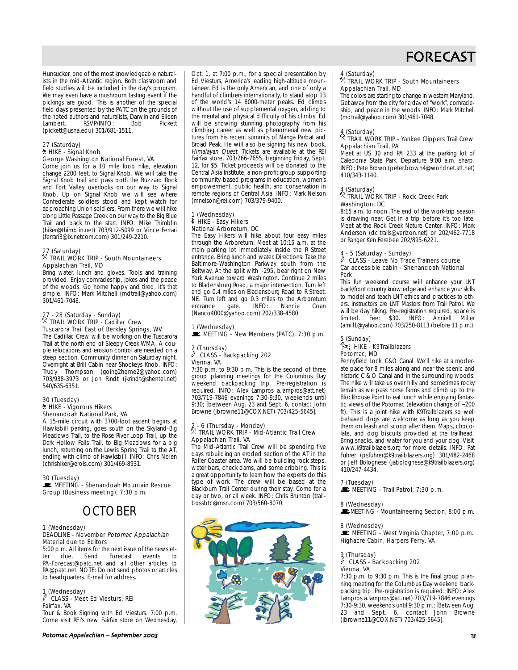

Hunsucker, one of the most knowledgeable naturalists in the mid-Atlantic region. Both classroom and field studies will be included in the day's program. We may even have a mushroom tasting event if the pickings are good. This is another of the special field days presented by the PATC on the grounds of the noted authors and naturalists, Darwin and Eileen RSVP/INFO: (pickett@usna.edu) 301/681-1511.

#### 27 (Saturday) ` HIKE - Signal Knob George Washington National Forest, VA

Come join us for a 10 mile loop hike, elevation change 2200 feet, to Signal Knob. We will take the Signal Knob trail and pass both the Buzzard Rock and Fort Valley overlooks on our way to Signal Knob. Up on Signal Knob we will see where Confederate soldiers stood and kept watch for approaching Union soldiers. From there we will hike along Little Passage Creek on our way to the Big Blue Trail and back to the start. INFO: Mike Thimblin (hiker@thimblin.net) 703/912-5099 or Vince Ferrari (ferrari3@ix.netcom.com) 301/249-2210.

## 27 (Saturday) . TRAIL WORK TRIP - South Mountaineers Appalachian Trail, MD

Bring water, lunch and gloves. Tools and training provided. Enjoy comradeship, jokes and the peace of the woods. Go home happy and tired, it's that simple. INFO: Mark Mitchell (mdtrail@yahoo.com) 301/461-7048.

## 27 - 28 (Saturday - Sunday)<br><sup>X</sup> TRAIL WORK TRIP - Cadillac Crew Tuscarora Trail East of Berkley Springs, WV

The Cadillac Crew will be working on the Tuscarora Trail at the north end of Sleepy Creek WMA. A couple relocations and erosion control are needed on a steep section. Community dinner on Saturday night. Overnight at Brill Cabin near Shockeys Knob. INFO: Trudy Thompson (going2home2@yahoo.com) 703/938-3973 or Jon Rindt (jkrindt@shentel.net) 540/635-6351.

#### 30 (Tuesday) ` HIKE - Vigorous Hikers Shenandoah National Park, VA

A 15-mile circuit with 3700-foot ascent begins at Hawksbill parking, goes south on the Skyland-Big Meadows Trail, to the Rose River Loop Trail, up the Dark Hollow Falls Trail, to Big Meadows for a big lunch, returning on the Lewis Spring Trail to the AT, ending with climb of Hawksbill. INFO: Chris Nolen (chrishiker@erols.com) 301/469-8931.

#### 30 (Tuesday)

 $\mathbf{E}$  MEETING - Shenandoah Mountain Rescue Group (Business meeting), 7:30 p.m.

## OCTOBER

#### 1 (Wednesday) DEADLINE - November Potomac Appalachian Material due to Editors

5:00 p.m. All items for the next issue of the newsletter due. Send Forecast events to PA-Forecast@patc.net and all other articles to PA@patc.net. NOTE: Do not send photos or articles to headquarters. E-mail for address.

#### 1 (Wednesday) CLASS - Meet Ed Viesturs, REI Fairfax, VA

Tour & Book Signing with Ed Viesturs. 7:00 p.m. Come visit REI's new Fairfax store on Wednesday,

Oct. 1, at 7:00 p.m., for a special presentation by Ed Viesturs, America's leading high-altitude mountaineer. Ed is the only American, and one of only a handful of climbers internationally, to stand atop 13 of the world's 14 8000-meter peaks. Ed climbs without the use of supplemental oxygen, adding to the mental and physical difficulty of his climbs. Ed will be showing stunning photography from his climbing career as well as phenomenal new pictures from his recent summits of Nanga Parbat and Broad Peak. He will also be signing his new book, Himalayan Quest. Tickets are available at the REI Fairfax store, 703/266-7655, beginning Friday, Sept. 12, for \$5. Ticket proceeds will be donated to the Central Asia Institute, a non-profit group supporting community-based programs in education, women's empowerment, public health, and conservation in remote regions of Central Asia. INFO: Mark Nelson (mnelson@rei.com) 703/379-9400.

#### 1 (Wednesday) ` HIKE - Easy Hikers National Arboretum, DC

The Easy Hikers will hike about four easy miles through the Arboretum. Meet at 10:15 a.m. at the main parking lot immediately inside the R Street entrance. Bring lunch and water. Directions: Take the Baltimore-Washington Parkway south from the Beltway. At the split with I-295, bear right on New York Avenue toward Washington. Continue 2 miles to Bladensburg Road, a major intersection. Turn left and go 0.4 miles on Bladensburg Road to R Street, NE. Turn left and go 0.3 miles to the Arboretum<br>entrance gate. INFO: Nancie Coan entrance gate. INFO: Nancie Coan (Nanco4000@yahoo.com) 202/338-4580.

# 1 (Wednesday)<br>█ MEETING - New Members (PATC), 7:30 p.m.

#### 2 (Thursday)  $\ell$  CLASS - Backpacking 202 Vienna, VA

7:30 p.m. to 9:30 p.m. This is the second of three group planning meetings for the Columbus Day weekend backpacking trip. Pre-registration is required. INFO: Alex Lampros a.lampros@att.net) 703/719-7846 evenings 7:30-9:30, weekends until 9:30; [between Aug. 23 and Sept. 6, contact John Browne (jbrowne11@COX.NET) 703/425-5645].

#### 2 - 6 (Thursday - Monday)  $\bar{\mathbb{X}}$  TRAIL WORK TRIP - Mid-Atlantic Trail Crew Appalachian Trail, VA

The Mid-Atlantic Trail Crew will be spending five days rebuilding an eroded section of the AT in the Roller Coaster area. We will be building rock steps, water bars, check dams, and some cribbing. This is a great opportunity to learn how the experts do this type of work. The crew will be based at the Blackburn Trail Center during their stay. Come for a day or two, or all week. INFO: Chris Brunton (trailbossbtc@msn.com) 703/560-8070.



#### 4 (Saturday)

#### . TRAIL WORK TRIP - South Mountaineers Appalachian Trail, MD

The colors are starting to change in western Maryland. Get away from the city for a day of "work", comradeship, and peace in the woods. INFO: Mark Mitchell (mdtrail@yahoo.com) 301/461-7048.

#### 4 (Saturday)

#### $\hat{X}$  TRAIL WORK TRIP - Yankee Clippers Trail Crew Appalachian Trail, PA

Meet at US 30 and PA 233 at the parking lot of Caledonia State Park. Departure 9:00 a.m. sharp. INFO: Pete Brown (peter.brown4@worldnet.att.net) 410/343-1140.

#### 4 (Saturday)

#### $\%$  TRAIL WORK TRIP - Rock Creek Park Washington, DC

8:15 a.m. to noon .The end of the work-trip season is drawing near. Get in a trip before it's too late. Meet at the Rock Creek Nature Center. INFO: Mark Anderson (dc.trails@verizon.net) or 202/462-7718 or Ranger Ken Ferebee 202/895-6221.

#### 4 - 5 (Saturday - Sunday)

#### $\overline{\ell}$  CLASS - Leave No Trace Trainers course Car accessible cabin - Shenandoah National Park

This fun weekend course will enhance your LNT back/front country knowledge and enhance your skills to model and teach LNT ethics and practices to others. Instructors are LNT Masters from Trail Patrol. We will be day hiking. Pre-registration required, space is<br>limited. Fee: \$30. INFO: Anniell Miller  $lim_{\text{t} \to \text{t}}$  Fee:  $$30$  MFO: Anniell (amill1@yahoo.com) 703/250-8113 (before 11 p.m.).

#### 5 (Sunday)  $\int_{-\infty}^{\infty}$  HIKE - K9Trailblazers Potomac, MD

Pennyfield Lock, C&O Canal. We'll hike at a moderate pace for 8 miles along and near the scenic and historic C & O Canal and in the surrounding woods. The hike will take us over hilly and sometimes rocky terrain as we pass horse farms and climb up to the Blockhouse Point to eat lunch while enjoying fantastic views of the Potomac (elevation change of ~200 ft). This is a joint hike with K9Trailblazers so well behaved dogs are welcome as long as you keep them on leash and scoop after them. Maps, chocolate, and dog biscuits provided at the trailhead. Bring snacks, and water for you and your dog. Visit www.k9trailblazers.org for more details. INFO: Pat Fuhrer (psfuhrer@k9trailblazers.org) 301/482-2468 or Jeff Bolognese (jabolognese@k9trailblazers.org) 410/247-4434.

#### 7 (Tuesday)

 $\mathbf{\dot{E}}$  MEETING - Trail Patrol, 7:30 p.m.

#### 8 (Wednesday) **MEETING - Mountaineering Section, 8:00 p.m.**

8 (Wednesday)

MEETING - West Virginia Chapter, 7:00 p.m. Highacre Cabin, Harpers Ferry, VA

#### 9 (Thursday)

#### $\sqrt{2}$  CLASS - Backpacking 202 Vienna, VA

7:30 p.m. to 9:30 p.m. This is the final group planning meeting for the Columbus Day weekend backpacking trip. Pre-registration is required. INFO: Alex Lampros a.lampros@att.net) 703/719-7846 evenings 7:30-9:30, weekends until 9:30 p.m.; [Between Aug. 23 and Sept. 6, contact John Browne (jbrowne11@COX.NET) 703/425-5645].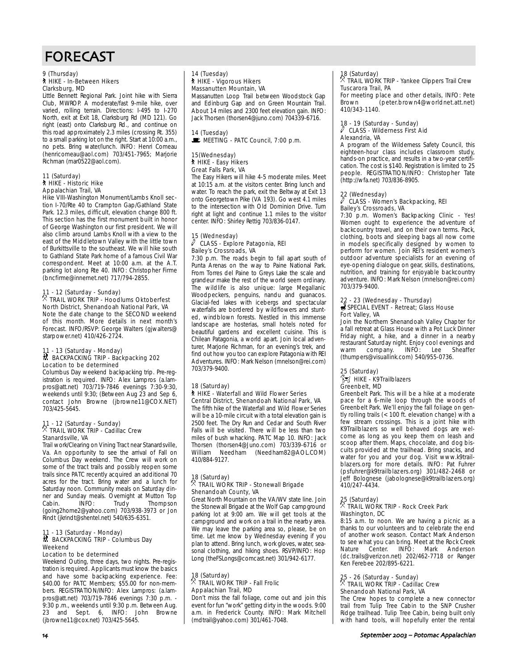## FORECAST

#### 9 (Thursday) ` HIKE - In-Between Hikers Clarksburg, MD

Little Bennett Regional Park. Joint hike with Sierra Club, MWROP. A moderate/fast 9-mile hike, over varied, rolling terrain. Directions: I-495 to I-270 North, exit at Exit 18, Clarksburg Rd (MD 121). Go right (east) onto Clarksburg Rd., and continue on this road approximately 2.3 miles (crossing Rt. 355) to a small parking lot on the right. Start at 10:00 a.m., no pets. Bring water/lunch. INFO: Henri Comeau (henricomeau@aol.com) 703/451-7965; Marjorie Richman (mar0522@aol.com).

#### 11 (Saturday) ` HIKE - Historic Hike Appalachian Trail, VA

Hike VIII-Washington Monument/Lambs Knoll section I-70/Rte 40 to Crampton Gap/Gathland State Park. 12.3 miles, difficult, elevation change 800 ft. This section has the first monument built in honor of George Washington our first president. We will also climb around Lambs Knoll with a view to the east of the Middletown Valley with the little town of Burkittsville to the southeast. We will hike south to Gathland State Park home of a famous Civil War correspondent. Meet at 10:00 a.m. at the A.T. parking lot along Rte 40. INFO: Christopher Firme (bncfirme@innernet.net) 717/794-2855.

#### 11 - 12 (Saturday - Sunday)  $\%$  TRAIL WORK TRIP - Hoodlums Oktoberfest North District, Shenandoah National Park, VA

Note the date change to the SECOND weekend of this month. More details in next month's Forecast. INFO/RSVP: George Walters (gjwalters@ starpower.net) 410/426-2724.

#### 11 - 13 (Saturday - Monday) ~ BACKPACKING TRIP - Backpacking 202 Location to be determined

Columbus Day weekend backpacking trip. Pre-registration is required. INFO: Alex Lampros (a.lampros@att.net) 703/719-7846 evenings 7:30-9:30, weekends until 9:30; (Between Aug 23 and Sep 6, contact John Browne (jbrowne11@COX.NET) 703/425-5645.

## 11 - 12 (Saturday - Sunday)<br><sup>X</sup> TRAIL WORK TRIP - Cadillac Crew Stanardsville, VA

Trail work/Clearing on Vining Tract near Stanardsville, Va. An opportunity to see the arrival of Fall on Columbus Day weekend. The Crew will work on some of the tract trails and possibly reopen some trails since PATC recently acquired an additional 70 acres for the tract. Bring water and a lunch for Saturday noon. Community meals on Saturday dinner and Sunday meals. Overnight at Mutton Top Cabin. INFO: Trudy Thompson (going2home2@yahoo.com) 703/938-3973 or Jon Rindt (jkrindt@shentel.net) 540/635-6351.

## 11 - 13 (Saturday - Monday) ~ BACKPACKING TRIP - Columbus Day Weekend

### Location to be determined

Weekend Outing, three days, two nights. Pre-registration is required. Applicants must know the basics and have some backpacking experience. Fee: \$40.00 for PATC Members; \$55.00 for non-members. REGISTRATION/INFO: Alex Lampros: (a.lampros@att.net) 703/719-7846 evenings 7:30 p.m. - 9:30 p.m., weekends until 9:30 p.m. Between Aug. 23 and Sept. 6, INFO: (jbrowne11@cox.net) 703/425-5645.

#### 14 (Tuesday) **A** HIKE - Vigorous Hikers Massanutten Mountain, VA

Massanutten Loop Trail between Woodstock Gap and Edinburg Gap and on Green Mountain Trail. About 14 miles and 2300 feet elevation gain. INFO: Jack Thorsen (thorsen4@juno.com) 704339-6716.

### 14 (Tuesday) MEETING - PATC Council, 7:00 p.m.

#### 15(Wednesday) ` HIKE - Easy Hikers Great Falls Park, VA

The Easy Hikers will hike 4-5 moderate miles. Meet at 10:15 a.m. at the visitors center. Bring lunch and water. To reach the park, exit the Beltway at Exit 13 onto Georgetown Pike (VA 193). Go west 4.1 miles to the intersection with Old Dominion Drive. Turn right at light and continue 1.1 miles to the visitor center. INFO: Shirley Rettig 703/836-0147.

#### 15 (Wednesday)  $\ell$  CLASS - Explore Patagonia, REI Bailey's Crossroads, VA

7:30 p.m. The roads begin to fall apart south of Punta Arenas on the way to Paine National Park. From Torres del Paine to Greys Lake the scale and grandeur make the rest of the world seem ordinary. The wildlife is also unique: large Megallanic Woodpeckers, penguins, nandu and guanacos. Glacial-fed lakes with icebergs and spectacular waterfalls are bordered by wildflowers and stunted, windblown forests. Nestled in this immense landscape are hosterias, small hotels noted for beautiful gardens and excellent cuisine. This is Chilean Patagonia, a world apart. Join local adventurer, Marjorie Richman, for an evening's trek, and find out how you too can explore Patagonia with REI Adventures. INFO: Mark Nelson (mnelson@rei.com) 703/379-9400.

## 18 (Saturday)

#### ` HIKE - Waterfall and Wild Flower Series Central District, Shenandoah National Park, VA

The fifth hike of the Waterfall and Wild Flower Series will be a 10-mile circuit with a total elevation gain is 2500 feet. The Dry Run and Cedar and South River Falls will be visited. There will be less than two miles of bush whacking. PATC Map 10. INFO: Jack Thorsen (thorsen4@Juno.com) 703/339-6716 or William Needham (Needham82@AOL.COM) 410/884-9127.

## 18 (Saturday) . TRAIL WORK TRIP - Stonewall Brigade Shenandoah County, VA

Great North Mountain on the VA/WV state line. Join the Stonewall Brigade at the Wolf Gap campground parking lot at 9:00 am. We will get tools at the campground and work on a trail in the nearby area. We may leave the parking area so, please, be on time. Let me know by Wednesday evening if you plan to attend. Bring lunch, work gloves, water, seasonal clothing, and hiking shoes. RSVP/INFO: Hop Long (theFSLongs@comcast.net) 301/942-6177.

#### 18 (Saturday)  $\%$  TRAIL WORK TRIP - Fall Frolic Appalachian Trail, MD

Don't miss the fall foliage, come out and join this event for fun "work" getting dirty in the woods. 9:00 a.m. in Frederick County. INFO: Mark Mitchell (mdtrail@yahoo.com) 301/461-7048.

## 18 (Saturday) . TRAIL WORK TRIP - Yankee Clippers Trail Crew Tuscarora Trail, PA

For meeting place and other details, INFO: Pete Brown (peter.brown4@worldnet.att.net) 410/343-1140.

#### 18 - 19 (Saturday - Sunday)  $\mathscr O$  CLASS - Wilderness First Aid Alexandria, VA

A program of the Wilderness Safety Council, this eighteen-hour class includes classroom study, hands-on practice, and results in a two-year certification. The cost is \$140. Registration is limited to 25 people. REGISTRATION/INFO: Christopher Tate (http://wfa.net) 703/836-8905.

## 22 (Wednesday)

#### a CLASS - Women's Backpacking, REI Bailey's Crossroads, VA

7:30 p.m. Women's Backpacking Clinic - Yes! Women ought to experience the adventure of backcountry travel, and on their own terms. Pack, clothing, boots and sleeping bags all now come in models specifically designed by women to perform for women. Join REI's resident women's outdoor adventure specialists for an evening of eye-opening dialogue on gear, skills, destinations, nutrition, and training for enjoyable backcountry adventure. INFO: Mark Nelson (mnelson@rei.com) 703/379-9400.

## 22 - 23 (Wednesday - Thursday)<br><del>s</del>≸ SPECIAL EVENT - Retreat; Glass House Fort Valley, VA

Join the Northern Shenandoah Valley Chapter for a fall retreat at Glass House with a Pot Luck Dinner Friday night, a hike, and a dinner in a nearby restaurant Saturday night. Enjoy cool evenings and<br>warm company. INFO: Lee Sheaffer company. (thumpers@visuallink.com) 540/955-0736.

#### 25 (Saturday)  $\approx$  HIKE - K9Trailblazers Greenbelt, MD

Greenbelt Park. This will be a hike at a moderate pace for a 6-mile loop through the woods of Greenbelt Park. We'll enjoy the fall foliage on gently rolling trails (< 100 ft. elevation change) with a few stream crossings. This is a joint hike with K9Trailblazers so well behaved dogs are welcome as long as you keep them on leash and scoop after them. Maps, chocolate, and dog biscuits provided at the trailhead. Bring snacks, and water for you and your dog. Visit www.k9trailblazers.org for more details. INFO: Pat Fuhrer (psfuhrer@k9trailblazers.org) 301/482-2468 or Jeff Bolognese (jabolognese@k9trailblazers.org) 410/247-4434.

## 25 (Saturday) . TRAIL WORK TRIP - Rock Creek Park Washington, DC

8:15 a.m. to noon. We are having a picnic as a thanks to our volunteers and to celebrate the end of another work season. Contact Mark Anderson to see what you can bring. Meet at the Rock Creek<br>Nature Center. INFO: Mark Anderson Center. INFO: (dc.trails@verizon.net) 202/462-7718 or Ranger Ken Ferebee 202/895-6221.

## 25 - 26 (Saturday - Sunday)<br><sup>X</sup> TRAIL WORK TRIP - Cadillac Crew Shenandoah National Park, VA

The Crew hopes to complete a new connector trail from Tulip Tree Cabin to the SNP Crusher Ridge trailhead. Tulip Tree Cabin, being built only with hand tools, will hopefully enter the rental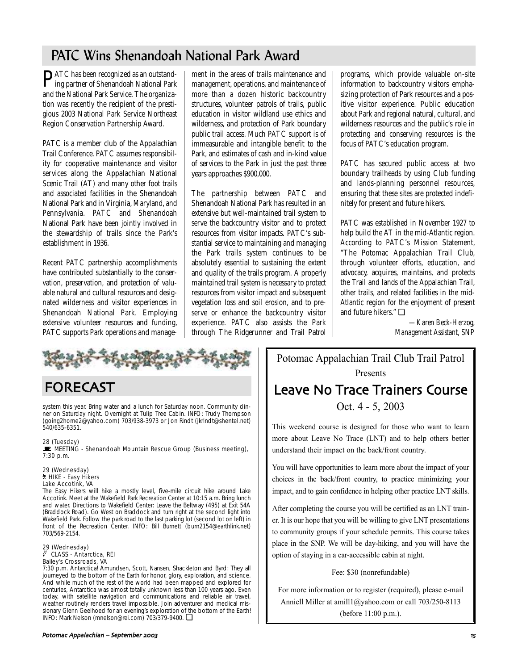## PATC Wins Shenandoah National Park Award

PATC has been recognized as an outstand-ing partner of Shenandoah National Park and the National Park Service. The organization was recently the recipient of the prestigious 2003 National Park Service Northeast Region Conservation Partnership Award.

PATC is a member club of the Appalachian Trail Conference. PATC assumes responsibility for cooperative maintenance and visitor services along the Appalachian National Scenic Trail (AT) and many other foot trails and associated facilities in the Shenandoah National Park and in Virginia, Maryland, and Pennsylvania. PATC and Shenandoah National Park have been jointly involved in the stewardship of trails since the Park's establishment in 1936.

Recent PATC partnership accomplishments have contributed substantially to the conservation, preservation, and protection of valuable natural and cultural resources and designated wilderness and visitor experiences in Shenandoah National Park. Employing extensive volunteer resources and funding, PATC supports Park operations and manage-

ment in the areas of trails maintenance and management, operations, and maintenance of more than a dozen historic backcountry structures, volunteer patrols of trails, public education in visitor wildland use ethics and wilderness, and protection of Park boundary public trail access. Much PATC support is of immeasurable and intangible benefit to the Park, and estimates of cash and in-kind value of services to the Park in just the past three years approaches \$900,000.

The partnership between PATC and Shenandoah National Park has resulted in an extensive but well-maintained trail system to serve the backcountry visitor and to protect resources from visitor impacts. PATC's substantial service to maintaining and managing the Park trails system continues to be absolutely essential to sustaining the extent and quality of the trails program. A properly maintained trail system is necessary to protect resources from visitor impact and subsequent vegetation loss and soil erosion, and to preserve or enhance the backcountry visitor experience. PATC also assists the Park through The Ridgerunner and Trail Patrol programs, which provide valuable on-site information to backcountry visitors emphasizing protection of Park resources and a positive visitor experience. Public education about Park and regional natural, cultural, and wilderness resources and the public's role in protecting and conserving resources is the focus of PATC's education program.

PATC has secured public access at two boundary trailheads by using Club funding and lands-planning personnel resources, ensuring that these sites are protected indefinitely for present and future hikers.

PATC was established in November 1927 to help build the AT in the mid-Atlantic region. According to PATC's Mission Statement, "The Potomac Appalachian Trail Club, through volunteer efforts, education, and advocacy, acquires, maintains, and protects the Trail and lands of the Appalachian Trail, other trails, and related facilities in the mid-Atlantic region for the enjoyment of present and future hikers." ❏

> *—Karen Beck-Herzog, Management Assistant, SNP*

## FORECAST

system this year. Bring water and a lunch for Saturday noon. Community dinner on Saturday night. Overnight at Tulip Tree Cabin. INFO: Trudy Thompson (going2home2@yahoo.com) 703/938-3973 or Jon Rindt (jkrindt@shentel.net) 540/635-6351.

#### 28 (Tuesday)

 $\blacksquare$  MEETING - Shenandoah Mountain Rescue Group (Business meeting), 7:30 p.m.

#### 29 (Wednesday) ` HIKE - Easy Hikers Lake Accotink, VA

The Easy Hikers will hike a mostly level, five-mile circuit hike around Lake Accotink. Meet at the Wakefield Park Recreation Center at 10:15 a.m. Bring lunch and water. Directions to Wakefield Center: Leave the Beltway (495) at Exit 54A (Braddock Road). Go West on Braddock and turn right at the second light into Wakefield Park. Follow the park road to the last parking lot (second lot on left) in front of the Recreation Center. INFO: Bill Burnett (burn2154@earthlink.net) 703/569-2154.

#### 29 (Wednesday) a CLASS - Antarctica, REI Bailey's Crossroads, VA

7:30 p.m. Antarctica! Amundsen, Scott, Nansen, Shackleton and Byrd: They all journeyed to the bottom of the Earth for honor, glory, exploration, and science. And while much of the rest of the world had been mapped and explored for centuries, Antarctica was almost totally unknown less than 100 years ago. Even today, with satellite navigation and communications and reliable air travel, weather routinely renders travel impossible. Join adventurer and medical missionary Glenn Geelhoed for an evening's exploration of the bottom of the Earth! INFO: Mark Nelson (mnelson@rei.com) 703/379-9400. ❏

Potomac Appalachian Trail Club Trail Patrol Presents Leave No Trace Trainers Course

Oct. 4 - 5, 2003

This weekend course is designed for those who want to learn more about Leave No Trace (LNT) and to help others better understand their impact on the back/front country.

You will have opportunities to learn more about the impact of your choices in the back/front country, to practice minimizing your impact, and to gain confidence in helping other practice LNT skills.

After completing the course you will be certified as an LNT trainer. It is our hope that you will be willing to give LNT presentations to community groups if your schedule permits. This course takes place in the SNP. We will be day-hiking, and you will have the option of staying in a car-accessible cabin at night.

Fee: \$30 (nonrefundable)

For more information or to register (required), please e-mail Anniell Miller at amill1@yahoo.com or call 703/250-8113 (before 11:00 p.m.).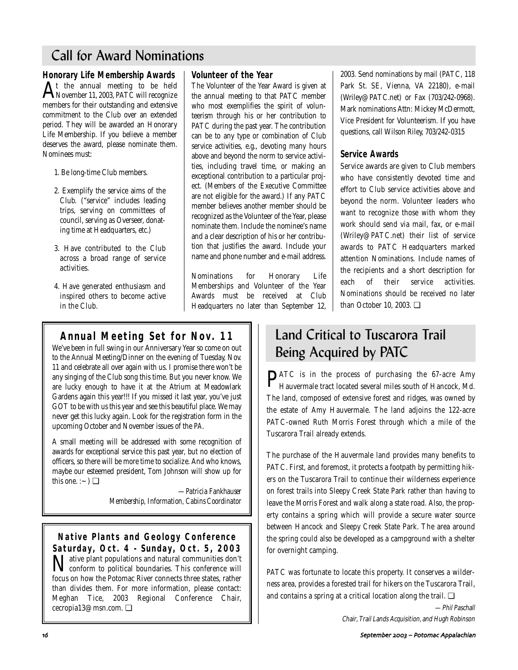## Call for Award Nominations

**Honorary Life Membership Awards**   $A<sup>t</sup>$  the annual meeting to be held<br>November 11, 2003, PATC will recognize members for their outstanding and extensive commitment to the Club over an extended period. They will be awarded an Honorary Life Membership. If you believe a member deserves the award, please nominate them. Nominees must:

- 1. Be long-time Club members.
- 2. Exemplify the service aims of the Club. ("service" includes leading trips, serving on committees of council, serving as Overseer, donating time at Headquarters, etc.)
- 3. Have contributed to the Club across a broad range of service activities.
- 4. Have generated enthusiasm and inspired others to become active in the Club.

## **Volunteer of the Year**

The Volunteer of the Year Award is given at the annual meeting to that PATC member who most exemplifies the spirit of volunteerism through his or her contribution to PATC during the past year. The contribution can be to any type or combination of Club service activities, e.g., devoting many hours above and beyond the norm to service activities, including travel time, or making an exceptional contribution to a particular project. (Members of the Executive Committee are not eligible for the award.) If any PATC member believes another member should be recognized as the Volunteer of the Year, please nominate them. Include the nominee's name and a clear description of his or her contribution that justifies the award. Include your name and phone number and e-mail address.

Nominations for Honorary Life Memberships and Volunteer of the Year Awards must be received at Club Headquarters no later than September 12,

## **Annual Meeting Set for Nov. 11**

We've been in full swing in our Anniversary Year so come on out to the Annual Meeting/Dinner on the evening of Tuesday, Nov. 11 and celebrate all over again with us. I promise there won't be any singing of the Club song this time. But you never know. We are lucky enough to have it at the Atrium at Meadowlark Gardens again this year!!! If you missed it last year, you've just GOT to be with us this year and see this beautiful place. We may never get this lucky again. Look for the registration form in the upcoming October and November issues of the *PA*.

A small meeting will be addressed with some recognition of awards for exceptional service this past year, but no election of officers, so there will be more time to socialize. And who knows, maybe our esteemed president, Tom Johnson will show up for this one. : $\sim$ )  $\Box$ 

> *—Patricia Fankhauser Membership, Information, Cabins Coordinator*

**Native Plants and Geology Conference Saturday, Oct. 4 - Sunday, Oct. 5, 2003 N** ative plant populations and natural communities don't conform to political boundaries. This conference will conform to political boundaries. This conference will focus on how the Potomac River connects three states, rather than divides them. For more information, please contact: Meghan Tice, 2003 Regional Conference Chair, cecropia13@msn.com. ❏

2003. Send nominations by mail (PATC, 118 Park St. SE, Vienna, VA 22180), e-mail (Wriley@PATC.net) or Fax (703/242-0968). Mark nominations Attn: Mickey McDermott, Vice President for Volunteerism. If you have questions, call Wilson Riley, 703/242-0315

## **Service Awards**

Service awards are given to Club members who have consistently devoted time and effort to Club service activities above and beyond the norm. Volunteer leaders who want to recognize those with whom they work should send via mail, fax, or e-mail (Wriley@PATC.net) their list of service awards to PATC Headquarters marked attention Nominations. Include names of the recipients and a short description for each of their service activities. Nominations should be received no later than October 10, 2003. ❏

## Land Critical to Tuscarora Trail Being Acquired by PATC

PATC is in the process of purchasing the 67-acre Amy Hauvermale tract located several miles south of Hancock, Md. The land, composed of extensive forest and ridges, was owned by the estate of Amy Hauvermale. The land adjoins the 122-acre PATC-owned Ruth Morris Forest through which a mile of the Tuscarora Trail already extends.

The purchase of the Hauvermale land provides many benefits to PATC. First, and foremost, it protects a footpath by permitting hikers on the Tuscarora Trail to continue their wilderness experience on forest trails into Sleepy Creek State Park rather than having to leave the Morris Forest and walk along a state road. Also, the property contains a spring which will provide a secure water source between Hancock and Sleepy Creek State Park. The area around the spring could also be developed as a campground with a shelter for overnight camping.

PATC was fortunate to locate this property. It conserves a wilderness area, provides a forested trail for hikers on the Tuscarora Trail, and contains a spring at a critical location along the trail.  $\Box$ 

> —Phil Paschall Chair, Trail Lands Acquisition, and Hugh Robinson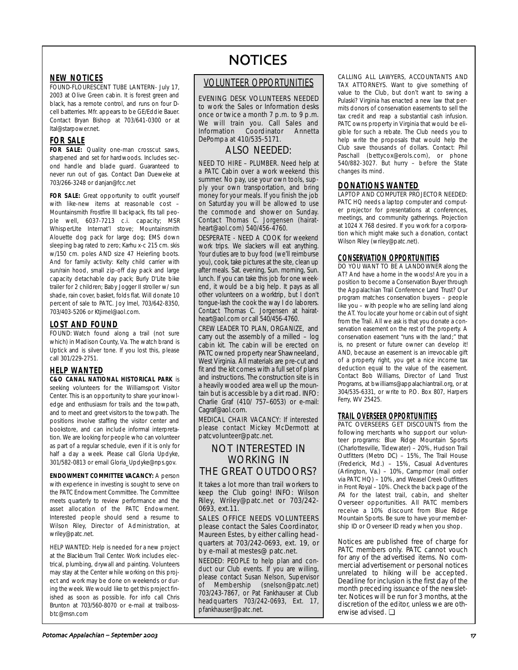## **NEW NOTICES**

FOUND-FLOURESCENT TUBE LANTERN- July 17, 2003 at Olive Green cabin. It is forest green and black, has a remote control, and runs on four Dcell batterries. Mfr. appears to be GE/Eddie Bauer. Contact Bryan Bishop at 703/641-0300 or at ltal@starpower.net.

## **FOR SALE**

FOR SALE: Quality one-man crosscut saws, sharpened and set for hardwoods. Includes second handle and blade guard. Guaranteed to never run out of gas. Contact Dan Dueweke at 703/266-3248 or danjan@fcc.net

FOR SALE: Great opportunity to outfit yourself with like-new items at reasonable cost – Mountainsmith Frostfire III backpack, fits tall people well, 6037-7213 c.i. capacity; MSR WhisperLIte Internat'l stove; Mountainsmith Alouette dog pack for large dog; EMS down sleeping bag rated to zero; Karhu x-c 215 cm. skis w/150 cm. poles AND size 47 Heierling boots. And for family activity: Kelty child carrier with sun/rain hood, small zip-off day pack and large capacity detachable day pack; Burly D'Lite bike trailer for 2 children; Baby Jogger II stroller w/ sun shade, rain cover, basket, folds flat. Will donate 10 percent of sale to PATC. Joy Imel, 703/642-8350, 703/403-5206 or Ktjimel@aol.com.

### **LOST AND FOUND**

FOUND: Watch found along a trail (not sure which) in Madison County, Va. The watch brand is Uptick and is silver tone. If you lost this, please call 301/229-2751.

### **HELP WANTED**

**C&O CANAL NATIONAL HISTORICAL PARK** is seeking volunteers for the Williamsport Visitor Center. This is an opportunity to share your knowledge and enthusiasm for trails and the towpath, and to meet and greet visitors to the towpath. The positions involve staffing the visitor center and bookstore, and can include informal interpretation. We are looking for people who can volunteer as part of a regular schedule, even if it is only for half a day a week. Please call Gloria Updyke, 301/582-0813 or email Gloria\_Updyke@nps.gov.

**ENDOWMENT COMMITTEE VACANCY:** A person with experience in investing is sought to serve on the PATC Endowment Committee. The Committee meets quarterly to review performance and the asset allocation of the PATC Endowment. Interested people should send a resume to Wilson Riley, Director of Administration, at wriley@patc.net.

HELP WANTED: Help is needed for a new project at the Blackburn Trail Center. Work includes electrical, plumbing, drywall and painting. Volunteers may stay at the Center while working on this project and work may be done on weekends or during the week. We would like to get this project finished as soon as possible. For info call Chris Brunton at 703/560-8070 or e-mail at trailbossbtc@msn.com

# **NOTICES**

## VOLUNTEER OPPORTUNITIES

EVENING DESK VOLUNTEERS NEEDED to work the Sales or Information desks once or twice a month 7 p.m. to 9 p.m. We will train you. Call Sales and Information Coordinator Annetta DePompa at 410/535-5171.

## ALSO NEEDED:

NEED TO HIRE – PLUMBER. Need help at a PATC Cabin over a work weekend this summer. No pay, use your own tools, supply your own transportation, and bring money for your meals. If you finish the job on Saturday you will be allowed to use the commode and shower on Sunday. Contact Thomas C. Jorgensen (hairatheart@aol.com) 540/456-4760.

DESPERATE - NEED A COOK for weekend work trips. We slackers will eat anything. Your duties are to buy food (we'll reimburse you), cook, take pictures at the site, clean up after meals. Sat. evening, Sun. morning, Sun. lunch. If you can take this job for one weekend, it would be a big help. It pays as all other volunteers on a worktrip, but I don't tongue-lash the cook the way I do laborers. Contact Thomas C. Jorgensen at hairatheart@aol.com or call 540/456-4760.

CREW LEADER TO PLAN, ORGANIZE, and carry out the assembly of a milled – log cabin kit. The cabin will be erected on PATC owned property near Shawneeland, West Virginia. All materials are pre-cut and fit and the kit comes with a full set of plans and instructions. The construction site is in a heavily wooded area well up the mountain but is accessible by a dirt road. INFO: Charlie Graf (410/ 757–6053) or e-mail: Cagraf@aol.com.

MEDICAL CHAIR VACANCY: If interested please contact Mickey McDermott at patcvolunteer@patc.net.

## NOT INTERESTED IN WORKING IN THE GREAT OUTDOORS?

It takes a lot more than trail workers to keep the Club going! INFO: Wilson Riley, Wriley@patc.net or 703/242- 0693, ext.11.

SALES OFFICE NEEDS VOLUNTEERS please contact the Sales Coordinator, Maureen Estes, by either calling headquarters at 703/242-0693, ext. 19, or by e-mail at mestes@ patc.net.

NEEDED: PEOPLE to help plan and conduct our Club events. If you are willing, please contact Susan Nelson, Supervisor of Membership (snelson@patc.net) 703/243-7867, or Pat Fankhauser at Club headquarters 703/242-0693, Ext. 17, pfankhauser@patc.net.

CALLING ALL LAWYERS, ACCOUNTANTS AND TAX ATTORNEYS. Want to give something of value to the Club, but don't want to swing a Pulaski? Virginia has enacted a new law that permits donors of conservation easements to sell the tax credit and reap a substantial cash infusion. PATC owns property in Virginia that would be eligible for such a rebate. The Club needs you to help write the proposals that would help the Club save thousands of dollars. Contact: Phil Paschall (bettycox@erols.com), or phone 540/882-3027. But hurry – before the State changes its mind.

### **DONATIONS WANTED**

LAPTOP AND COMPUTER PROJECTOR NEEDED: PATC HQ needs a laptop computer and computer projector for presentations at conferences, meetings, and community gatherings. Projection at 1024 X 768 desired. If you work for a corporation which might make such a donation, contact Wilson Riley (wriley@patc.net).

## **CONSERVATION OPPORTUNITIES**

DO YOU WANT TO BE A LANDOWNER along the AT? And have a home in the woods! Are you in a position to become a Conservation Buyer through the Appalachian Trail Conference Land Trust? Our program matches conservation buyers – people like you – with people who are selling land along the AT. You locate your home or cabin out of sight from the Trail. All we ask is that you donate a conservation easement on the rest of the property. A conservation easement "runs with the land;" that is, no present or future owner can develop it! AND, because an easement is an irrevocable gift of a property right, you get a nice income tax deduction equal to the value of the easement. Contact Bob Williams, Director of Land Trust Programs, at bwilliams@appalachiantrail.org, or at 304/535-6331, or write to P.O. Box 807, Harpers Ferry, WV 25425.

### **TRAIL OVERSEER OPPORTUNITIES**

PATC OVERSEERS GET DISCOUNTS from the following merchants who support our volunteer programs: Blue Ridge Mountain Sports (Charlottesville, Tidewater) – 20%, Hudson Trail Outfitters (Metro DC) – 15%, The Trail House (Frederick, Md.) – 15%, Casual Adventures (Arlington, Va.) – 10%, Campmor (mail order via PATC HQ) – 10%, and Weasel Creek Outfitters in Front Royal – 10%. Check the back page of the PA for the latest trail, cabin, and shelter Overseer opportunities. All PATC members receive a 10% discount from Blue Ridge Mountain Sports. Be sure to have your membership ID or Overseer ID ready when you shop.

Notices are published free of charge for PATC members only. PATC cannot vouch for any of the advertised items. No commercial advertisement or personal notices unrelated to hiking will be accepted. Deadline for inclusion is the first day of the month preceding issuance of the newsletter. Notices will be run for 3 months, at the discretion of the editor, unless we are otherwise advised. ❏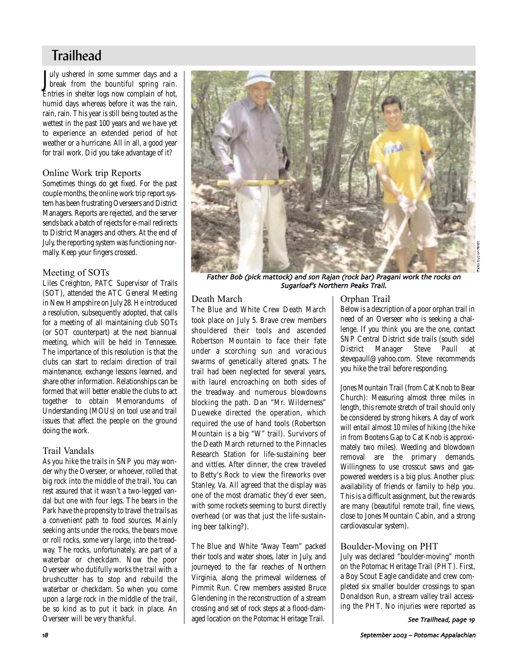## **Trailhead**

July ushered in some summer days and a<br>break from the bountiful spring rain. Tuly ushered in some summer days and a Entries in shelter logs now complain of hot, humid days whereas before it was the rain, rain, rain. This year is still being touted as the wettest in the past 100 years and we have yet to experience an extended period of hot weather or a hurricane. All in all, a good year for trail work. Did you take advantage of it?

## Online Work trip Reports

Sometimes things do get fixed. For the past couple months, the online work trip report system has been frustrating Overseers and District Managers. Reports are rejected, and the server sends back a batch of rejects for e-mail redirects to District Managers and others. At the end of July, the reporting system was functioning normally. Keep your fingers crossed.

## Meeting of SOTs

Liles Creighton, PATC Supervisor of Trails (SOT), attended the ATC General Meeting in New Hampshire on July 28. He introduced a resolution, subsequently adopted, that calls for a meeting of all maintaining club SOTs (or SOT counterpart) at the next biannual meeting, which will be held in Tennessee. The importance of this resolution is that the clubs can start to reclaim direction of trail maintenance, exchange lessons learned, and share other information. Relationships can be formed that will better enable the clubs to act together to obtain Memorandums of Understanding (MOUs) on tool use and trail issues that affect the people on the ground doing the work.

## Trail Vandals

As you hike the trails in SNP you may wonder why the Overseer, or whoever, rolled that big rock into the middle of the trail. You can rest assured that it wasn't a two-legged vandal but one with four legs. The bears in the Park have the propensity to travel the trails as a convenient path to food sources. Mainly seeking ants under the rocks, the bears move or roll rocks, some very large, into the treadway. The rocks, unfortunately, are part of a waterbar or checkdam. Now the poor Overseer who dutifully works the trail with a brushcutter has to stop and rebuild the waterbar or checkdam. So when you come upon a large rock in the middle of the trail, be so kind as to put it back in place. An Overseer will be very thankful.



Father Bob (pick mattock) and son Rajan (rock bar) Pragani work the rocks on Sugarloaf's Northern Peaks Trail

## Death March

The Blue and White Crew Death March took place on July 5. Brave crew members shouldered their tools and ascended Robertson Mountain to face their fate under a scorching sun and voracious swarms of genetically altered gnats. The trail had been neglected for several years, with laurel encroaching on both sides of the treadway and numerous blowdowns blocking the path. Dan "Mr. Wilderness" Dueweke directed the operation, which required the use of hand tools (Robertson Mountain is a big "W" trail). Survivors of the Death March returned to the Pinnacles Research Station for life-sustaining beer and vittles. After dinner, the crew traveled to Betty's Rock to view the fireworks over Stanley, Va. All agreed that the display was one of the most dramatic they'd ever seen, with some rockets seeming to burst directly overhead (or was that just the life-sustaining beer talking?).

The Blue and White "Away Team" packed their tools and water shoes, later in July, and journeyed to the far reaches of Northern Virginia, along the primeval wilderness of Pimmit Run. Crew members assisted Bruce Glendening in the reconstruction of a stream crossing and set of rock steps at a flood-damaged location on the Potomac Heritage Trail.

## Orphan Trail

Below is a description of a poor orphan trail in need of an Overseer who is seeking a challenge. If you think you are the one, contact SNP Central District side trails (south side) District Manager Steve Paull at stevepaull@yahoo.com. Steve recommends you hike the trail before responding.

Jones Mountain Trail (from Cat Knob to Bear Church): Measuring almost three miles in length, this remote stretch of trail should only be considered by strong hikers. A day of work will entail almost 10 miles of hiking (the hike in from Bootens Gap to Cat Knob is approximately two miles). Weeding and blowdown removal are the primary demands. Willingness to use crosscut saws and gaspowered weeders is a big plus. Another plus: availability of friends or family to help you. This is a difficult assignment, but the rewards are many (beautiful remote trail, fine views, close to Jones Mountain Cabin, and a strong cardiovascular system).

## Boulder-Moving on PHT

July was declared "boulder-moving" month on the Potomac Heritage Trail (PHT). First, a Boy Scout Eagle candidate and crew completed six smaller boulder crossings to span Donaldson Run, a stream valley trail accessing the PHT. No injuries were reported as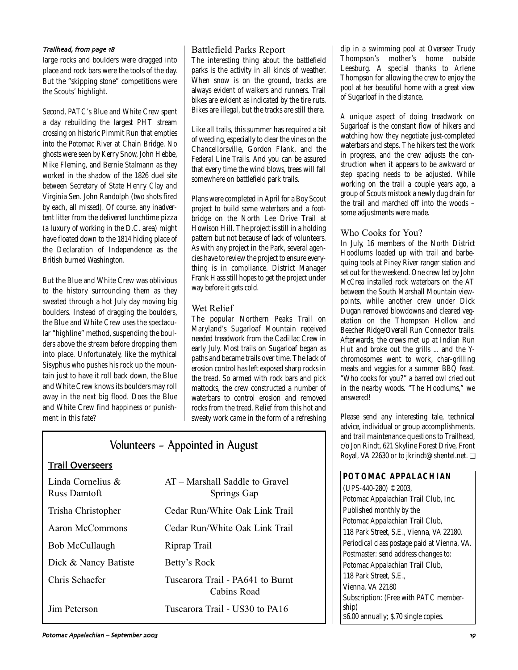### Trailhead, from page 18

large rocks and boulders were dragged into place and rock bars were the tools of the day. But the "skipping stone" competitions were the Scouts' highlight.

Second, PATC's Blue and White Crew spent a day rebuilding the largest PHT stream crossing on historic Pimmit Run that empties into the Potomac River at Chain Bridge. No ghosts were seen by Kerry Snow, John Hebbe, Mike Fleming, and Bernie Stalmann as they worked in the shadow of the 1826 duel site between Secretary of State Henry Clay and Virginia Sen. John Randolph (two shots fired by each, all missed). Of course, any inadvertent litter from the delivered lunchtime pizza (a luxury of working in the D.C. area) might have floated down to the 1814 hiding place of the Declaration of Independence as the British burned Washington.

But the Blue and White Crew was oblivious to the history surrounding them as they sweated through a hot July day moving big boulders. Instead of dragging the boulders, the Blue and White Crew uses the spectacular "highline" method, suspending the boulders above the stream before dropping them into place. Unfortunately, like the mythical Sisyphus who pushes his rock up the mountain just to have it roll back down, the Blue and White Crew knows its boulders may roll away in the next big flood. Does the Blue and White Crew find happiness or punishment in this fate?

## Battlefield Parks Report

The interesting thing about the battlefield parks is the activity in all kinds of weather. When snow is on the ground, tracks are always evident of walkers and runners. Trail bikes are evident as indicated by the tire ruts. Bikes are illegal, but the tracks are still there.

Like all trails, this summer has required a bit of weeding, especially to clear the vines on the Chancellorsville, Gordon Flank, and the Federal Line Trails. And you can be assured that every time the wind blows, trees will fall somewhere on battlefield park trails.

Plans were completed in April for a Boy Scout project to build some waterbars and a footbridge on the North Lee Drive Trail at Howison Hill. The project is still in a holding pattern but not because of lack of volunteers. As with any project in the Park, several agencies have to review the project to ensure everything is in compliance. District Manager Frank Hass still hopes to get the project under way before it gets cold.

## Wet Relief

The popular Northern Peaks Trail on Maryland's Sugarloaf Mountain received needed treadwork from the Cadillac Crew in early July. Most trails on Sugarloaf began as paths and became trails over time. The lack of erosion control has left exposed sharp rocks in the tread. So armed with rock bars and pick mattocks, the crew constructed a number of waterbars to control erosion and removed rocks from the tread. Relief from this hot and sweaty work came in the form of a refreshing

## Volunteers – Appointed in August

| <b>Trail Overseers</b> |  |
|------------------------|--|
|                        |  |

| Linda Cornelius $\&$<br>Russ Damtoft | AT – Marshall Saddle to Gravel<br>Springs Gap   |
|--------------------------------------|-------------------------------------------------|
| Trisha Christopher                   | Cedar Run/White Oak Link Trail                  |
| Aaron McCommons                      | Cedar Run/White Oak Link Trail                  |
| Bob McCullaugh                       | Riprap Trail                                    |
| Dick & Nancy Batiste                 | Betty's Rock                                    |
| Chris Schaefer                       | Tuscarora Trail - PA641 to Burnt<br>Cabins Road |
| Jim Peterson                         | Tuscarora Trail - US30 to PA16                  |

dip in a swimming pool at Overseer Trudy Thompson's mother's home outside Leesburg. A special thanks to Arlene Thompson for allowing the crew to enjoy the pool at her beautiful home with a great view of Sugarloaf in the distance.

A unique aspect of doing treadwork on Sugarloaf is the constant flow of hikers and watching how they negotiate just-completed waterbars and steps. The hikers test the work in progress, and the crew adjusts the construction when it appears to be awkward or step spacing needs to be adjusted. While working on the trail a couple years ago, a group of Scouts mistook a newly dug drain for the trail and marched off into the woods – some adjustments were made.

## Who Cooks for You?

In July, 16 members of the North District Hoodlums loaded up with trail and barbequing tools at Piney River ranger station and set out for the weekend. One crew led by John McCrea installed rock waterbars on the AT between the South Marshall Mountain viewpoints, while another crew under Dick Dugan removed blowdowns and cleared vegetation on the Thompson Hollow and Beecher Ridge/Overall Run Connector trails. Afterwards, the crews met up at Indian Run Hut and broke out the grills ... and the Ychromosomes went to work, char-grilling meats and veggies for a summer BBQ feast. "Who cooks for you?" a barred owl cried out in the nearby woods. "The Hoodlums," we answered!

Please send any interesting tale, technical advice, individual or group accomplishments, and trail maintenance questions to Trailhead, c/o Jon Rindt, 621 Skyline Forest Drive, Front Royal, VA 22630 or to jkrindt@shentel.net. ❏

**POTOMAC APPALACHIAN** (UPS-440-280) ©2003, Potomac Appalachian Trail Club, Inc. Published monthly by the Potomac Appalachian Trail Club, 118 Park Street, S.E., Vienna, VA 22180. Periodical class postage paid at Vienna, VA. Postmaster: send address changes to: Potomac Appalachian Trail Club, 118 Park Street, S.E., Vienna, VA 22180 Subscription: (Free with PATC membership) \$6.00 annually; \$.70 single copies.